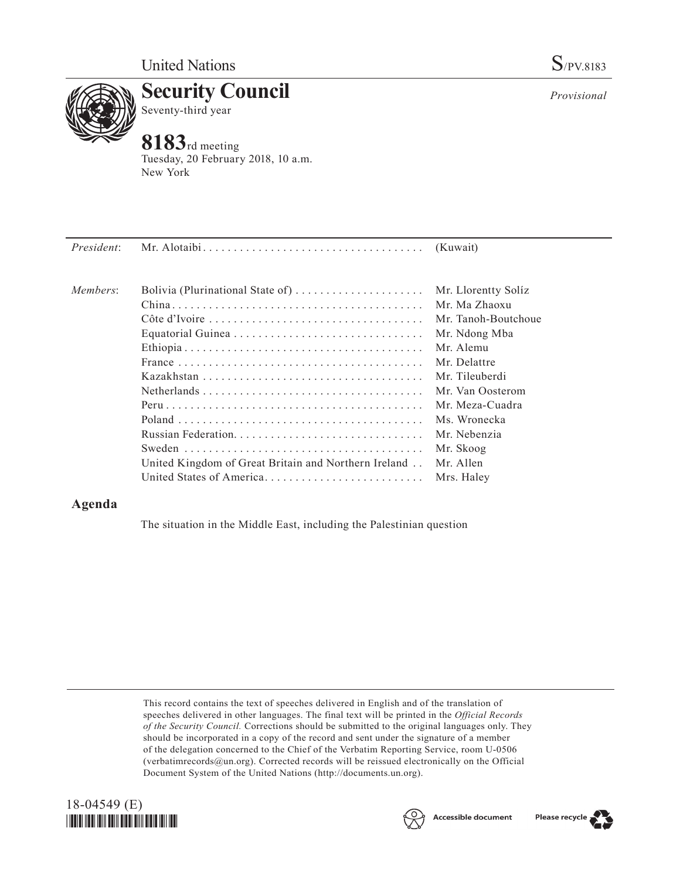

**Security Council** Seventy-third year

# **8183**rd meeting

Tuesday, 20 February 2018, 10 a.m. New York

| President: |                                                      |                     |
|------------|------------------------------------------------------|---------------------|
| Members:   | Bolivia (Plurinational State of)                     | Mr. Llorentty Solíz |
|            |                                                      | Mr. Ma Zhaoxu       |
|            |                                                      | Mr. Tanoh-Boutchoue |
|            |                                                      | Mr. Ndong Mba       |
|            |                                                      | Mr. Alemu           |
|            |                                                      | Mr. Delattre        |
|            |                                                      | Mr. Tileuberdi      |
|            |                                                      | Mr. Van Oosterom    |
|            |                                                      | Mr. Meza-Cuadra     |
|            |                                                      | Ms. Wronecka        |
|            |                                                      | Mr. Nebenzia        |
|            |                                                      | Mr. Skoog           |
|            | United Kingdom of Great Britain and Northern Ireland | Mr. Allen           |
|            | United States of America                             | Mrs. Haley          |

## **Agenda**

The situation in the Middle East, including the Palestinian question

This record contains the text of speeches delivered in English and of the translation of speeches delivered in other languages. The final text will be printed in the *Official Records of the Security Council.* Corrections should be submitted to the original languages only. They should be incorporated in a copy of the record and sent under the signature of a member of the delegation concerned to the Chief of the Verbatim Reporting Service, room U-0506 (verbatimrecords $@un.org$ ). Corrected records will be reissued electronically on the Official Document System of the United Nations [\(http://documents.un.org\)](http://documents.un.org).





Please recycle

*Provisional*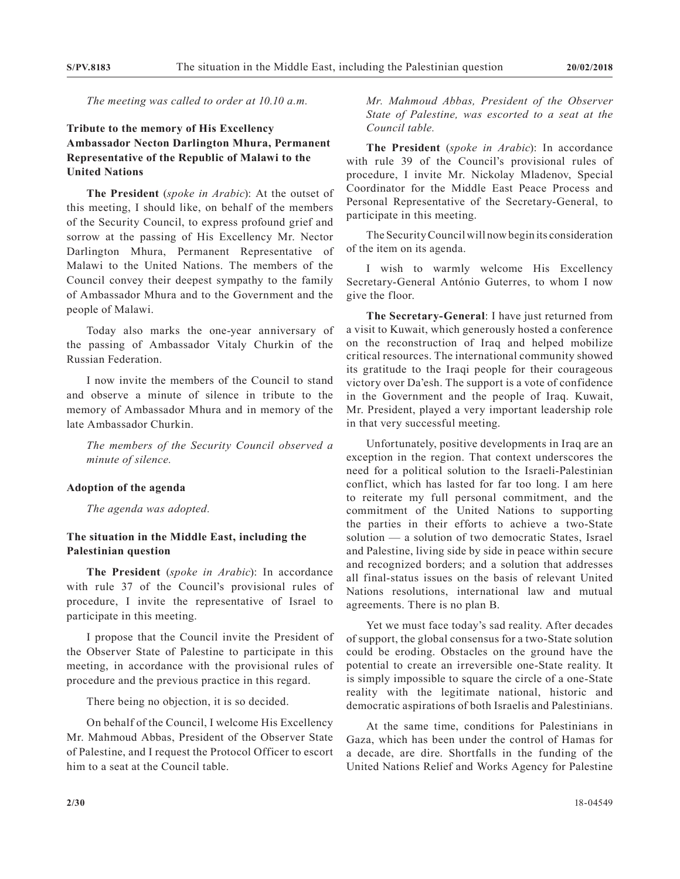*The meeting was called to order at 10.10 a.m.*

### **Tribute to the memory of His Excellency Ambassador Necton Darlington Mhura, Permanent Representative of the Republic of Malawi to the United Nations**

**The President** (*spoke in Arabic*): At the outset of this meeting, I should like, on behalf of the members of the Security Council, to express profound grief and sorrow at the passing of His Excellency Mr. Nector Darlington Mhura, Permanent Representative of Malawi to the United Nations. The members of the Council convey their deepest sympathy to the family of Ambassador Mhura and to the Government and the people of Malawi.

Today also marks the one-year anniversary of the passing of Ambassador Vitaly Churkin of the Russian Federation.

I now invite the members of the Council to stand and observe a minute of silence in tribute to the memory of Ambassador Mhura and in memory of the late Ambassador Churkin.

*The members of the Security Council observed a minute of silence.*

#### **Adoption of the agenda**

*The agenda was adopted.*

#### **The situation in the Middle East, including the Palestinian question**

**The President** (*spoke in Arabic*): In accordance with rule 37 of the Council's provisional rules of procedure, I invite the representative of Israel to participate in this meeting.

I propose that the Council invite the President of the Observer State of Palestine to participate in this meeting, in accordance with the provisional rules of procedure and the previous practice in this regard.

There being no objection, it is so decided.

On behalf of the Council, I welcome His Excellency Mr. Mahmoud Abbas, President of the Observer State of Palestine, and I request the Protocol Officer to escort him to a seat at the Council table.

*Mr. Mahmoud Abbas, President of the Observer State of Palestine, was escorted to a seat at the Council table.*

**The President** (*spoke in Arabic*): In accordance with rule 39 of the Council's provisional rules of procedure, I invite Mr. Nickolay Mladenov, Special Coordinator for the Middle East Peace Process and Personal Representative of the Secretary-General, to participate in this meeting.

The Security Council will now begin its consideration of the item on its agenda.

I wish to warmly welcome His Excellency Secretary-General António Guterres, to whom I now give the floor.

**The Secretary-General**: I have just returned from a visit to Kuwait, which generously hosted a conference on the reconstruction of Iraq and helped mobilize critical resources. The international community showed its gratitude to the Iraqi people for their courageous victory over Da'esh. The support is a vote of confidence in the Government and the people of Iraq. Kuwait, Mr. President, played a very important leadership role in that very successful meeting.

Unfortunately, positive developments in Iraq are an exception in the region. That context underscores the need for a political solution to the Israeli-Palestinian conflict, which has lasted for far too long. I am here to reiterate my full personal commitment, and the commitment of the United Nations to supporting the parties in their efforts to achieve a two-State solution — a solution of two democratic States, Israel and Palestine, living side by side in peace within secure and recognized borders; and a solution that addresses all final-status issues on the basis of relevant United Nations resolutions, international law and mutual agreements. There is no plan B.

Yet we must face today's sad reality. After decades of support, the global consensus for a two-State solution could be eroding. Obstacles on the ground have the potential to create an irreversible one-State reality. It is simply impossible to square the circle of a one-State reality with the legitimate national, historic and democratic aspirations of both Israelis and Palestinians.

At the same time, conditions for Palestinians in Gaza, which has been under the control of Hamas for a decade, are dire. Shortfalls in the funding of the United Nations Relief and Works Agency for Palestine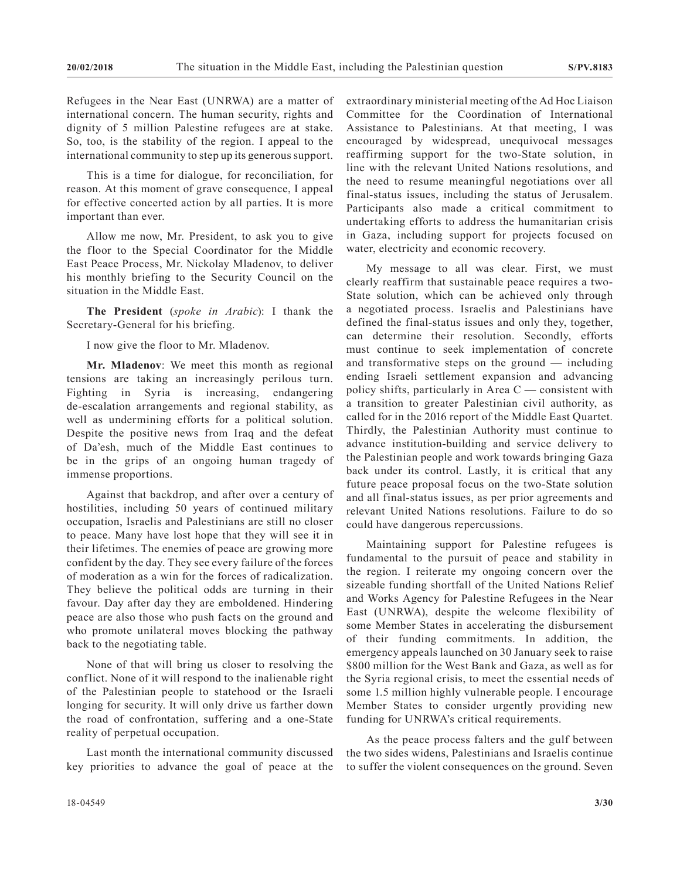Refugees in the Near East (UNRWA) are a matter of international concern. The human security, rights and dignity of 5 million Palestine refugees are at stake. So, too, is the stability of the region. I appeal to the international community to step up its generous support.

This is a time for dialogue, for reconciliation, for reason. At this moment of grave consequence, I appeal for effective concerted action by all parties. It is more important than ever.

Allow me now, Mr. President, to ask you to give the floor to the Special Coordinator for the Middle East Peace Process, Mr. Nickolay Mladenov, to deliver his monthly briefing to the Security Council on the situation in the Middle East.

**The President** (*spoke in Arabic*): I thank the Secretary-General for his briefing.

I now give the floor to Mr. Mladenov.

**Mr. Mladenov**: We meet this month as regional tensions are taking an increasingly perilous turn. Fighting in Syria is increasing, endangering de-escalation arrangements and regional stability, as well as undermining efforts for a political solution. Despite the positive news from Iraq and the defeat of Da'esh, much of the Middle East continues to be in the grips of an ongoing human tragedy of immense proportions.

Against that backdrop, and after over a century of hostilities, including 50 years of continued military occupation, Israelis and Palestinians are still no closer to peace. Many have lost hope that they will see it in their lifetimes. The enemies of peace are growing more confident by the day. They see every failure of the forces of moderation as a win for the forces of radicalization. They believe the political odds are turning in their favour. Day after day they are emboldened. Hindering peace are also those who push facts on the ground and who promote unilateral moves blocking the pathway back to the negotiating table.

None of that will bring us closer to resolving the conflict. None of it will respond to the inalienable right of the Palestinian people to statehood or the Israeli longing for security. It will only drive us farther down the road of confrontation, suffering and a one-State reality of perpetual occupation.

Last month the international community discussed key priorities to advance the goal of peace at the extraordinary ministerial meeting of the Ad Hoc Liaison Committee for the Coordination of International Assistance to Palestinians. At that meeting, I was encouraged by widespread, unequivocal messages reaffirming support for the two-State solution, in line with the relevant United Nations resolutions, and the need to resume meaningful negotiations over all final-status issues, including the status of Jerusalem. Participants also made a critical commitment to undertaking efforts to address the humanitarian crisis in Gaza, including support for projects focused on water, electricity and economic recovery.

My message to all was clear. First, we must clearly reaffirm that sustainable peace requires a two-State solution, which can be achieved only through a negotiated process. Israelis and Palestinians have defined the final-status issues and only they, together, can determine their resolution. Secondly, efforts must continue to seek implementation of concrete and transformative steps on the ground — including ending Israeli settlement expansion and advancing policy shifts, particularly in Area C — consistent with a transition to greater Palestinian civil authority, as called for in the 2016 report of the Middle East Quartet. Thirdly, the Palestinian Authority must continue to advance institution-building and service delivery to the Palestinian people and work towards bringing Gaza back under its control. Lastly, it is critical that any future peace proposal focus on the two-State solution and all final-status issues, as per prior agreements and relevant United Nations resolutions. Failure to do so could have dangerous repercussions.

Maintaining support for Palestine refugees is fundamental to the pursuit of peace and stability in the region. I reiterate my ongoing concern over the sizeable funding shortfall of the United Nations Relief and Works Agency for Palestine Refugees in the Near East (UNRWA), despite the welcome flexibility of some Member States in accelerating the disbursement of their funding commitments. In addition, the emergency appeals launched on 30 January seek to raise \$800 million for the West Bank and Gaza, as well as for the Syria regional crisis, to meet the essential needs of some 1.5 million highly vulnerable people. I encourage Member States to consider urgently providing new funding for UNRWA's critical requirements.

As the peace process falters and the gulf between the two sides widens, Palestinians and Israelis continue to suffer the violent consequences on the ground. Seven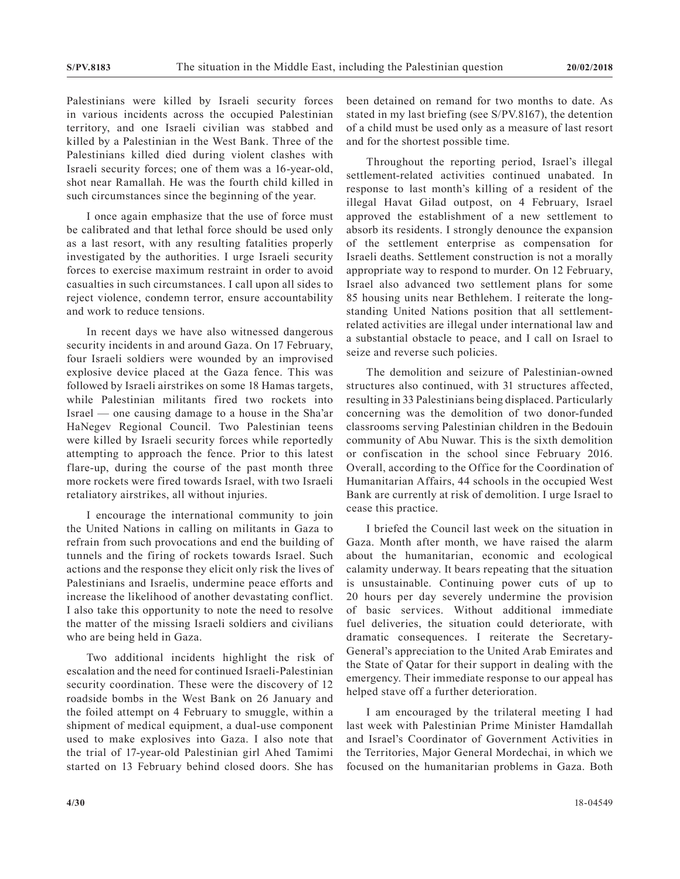Palestinians were killed by Israeli security forces in various incidents across the occupied Palestinian territory, and one Israeli civilian was stabbed and killed by a Palestinian in the West Bank. Three of the Palestinians killed died during violent clashes with Israeli security forces; one of them was a 16-year-old, shot near Ramallah. He was the fourth child killed in such circumstances since the beginning of the year.

I once again emphasize that the use of force must be calibrated and that lethal force should be used only as a last resort, with any resulting fatalities properly investigated by the authorities. I urge Israeli security forces to exercise maximum restraint in order to avoid casualties in such circumstances. I call upon all sides to reject violence, condemn terror, ensure accountability and work to reduce tensions.

In recent days we have also witnessed dangerous security incidents in and around Gaza. On 17 February, four Israeli soldiers were wounded by an improvised explosive device placed at the Gaza fence. This was followed by Israeli airstrikes on some 18 Hamas targets, while Palestinian militants fired two rockets into Israel — one causing damage to a house in the Sha'ar HaNegev Regional Council. Two Palestinian teens were killed by Israeli security forces while reportedly attempting to approach the fence. Prior to this latest flare-up, during the course of the past month three more rockets were fired towards Israel, with two Israeli retaliatory airstrikes, all without injuries.

I encourage the international community to join the United Nations in calling on militants in Gaza to refrain from such provocations and end the building of tunnels and the firing of rockets towards Israel. Such actions and the response they elicit only risk the lives of Palestinians and Israelis, undermine peace efforts and increase the likelihood of another devastating conflict. I also take this opportunity to note the need to resolve the matter of the missing Israeli soldiers and civilians who are being held in Gaza.

Two additional incidents highlight the risk of escalation and the need for continued Israeli-Palestinian security coordination. These were the discovery of 12 roadside bombs in the West Bank on 26 January and the foiled attempt on 4 February to smuggle, within a shipment of medical equipment, a dual-use component used to make explosives into Gaza. I also note that the trial of 17-year-old Palestinian girl Ahed Tamimi started on 13 February behind closed doors. She has

been detained on remand for two months to date. As stated in my last briefing (see S/PV.8167), the detention of a child must be used only as a measure of last resort and for the shortest possible time.

Throughout the reporting period, Israel's illegal settlement-related activities continued unabated. In response to last month's killing of a resident of the illegal Havat Gilad outpost, on 4 February, Israel approved the establishment of a new settlement to absorb its residents. I strongly denounce the expansion of the settlement enterprise as compensation for Israeli deaths. Settlement construction is not a morally appropriate way to respond to murder. On 12 February, Israel also advanced two settlement plans for some 85 housing units near Bethlehem. I reiterate the longstanding United Nations position that all settlementrelated activities are illegal under international law and a substantial obstacle to peace, and I call on Israel to seize and reverse such policies.

The demolition and seizure of Palestinian-owned structures also continued, with 31 structures affected, resulting in 33 Palestinians being displaced. Particularly concerning was the demolition of two donor-funded classrooms serving Palestinian children in the Bedouin community of Abu Nuwar. This is the sixth demolition or confiscation in the school since February 2016. Overall, according to the Office for the Coordination of Humanitarian Affairs, 44 schools in the occupied West Bank are currently at risk of demolition. I urge Israel to cease this practice.

I briefed the Council last week on the situation in Gaza. Month after month, we have raised the alarm about the humanitarian, economic and ecological calamity underway. It bears repeating that the situation is unsustainable. Continuing power cuts of up to 20 hours per day severely undermine the provision of basic services. Without additional immediate fuel deliveries, the situation could deteriorate, with dramatic consequences. I reiterate the Secretary-General's appreciation to the United Arab Emirates and the State of Qatar for their support in dealing with the emergency. Their immediate response to our appeal has helped stave off a further deterioration.

I am encouraged by the trilateral meeting I had last week with Palestinian Prime Minister Hamdallah and Israel's Coordinator of Government Activities in the Territories, Major General Mordechai, in which we focused on the humanitarian problems in Gaza. Both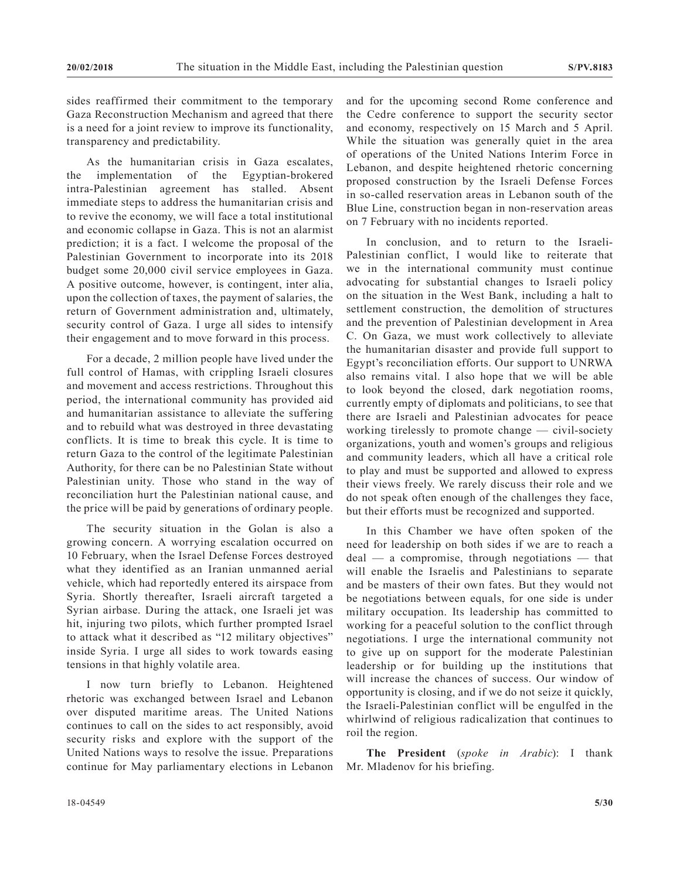sides reaffirmed their commitment to the temporary Gaza Reconstruction Mechanism and agreed that there is a need for a joint review to improve its functionality, transparency and predictability.

As the humanitarian crisis in Gaza escalates, the implementation of the Egyptian-brokered intra-Palestinian agreement has stalled. Absent immediate steps to address the humanitarian crisis and to revive the economy, we will face a total institutional and economic collapse in Gaza. This is not an alarmist prediction; it is a fact. I welcome the proposal of the Palestinian Government to incorporate into its 2018 budget some 20,000 civil service employees in Gaza. A positive outcome, however, is contingent, inter alia, upon the collection of taxes, the payment of salaries, the return of Government administration and, ultimately, security control of Gaza. I urge all sides to intensify their engagement and to move forward in this process.

For a decade, 2 million people have lived under the full control of Hamas, with crippling Israeli closures and movement and access restrictions. Throughout this period, the international community has provided aid and humanitarian assistance to alleviate the suffering and to rebuild what was destroyed in three devastating conflicts. It is time to break this cycle. It is time to return Gaza to the control of the legitimate Palestinian Authority, for there can be no Palestinian State without Palestinian unity. Those who stand in the way of reconciliation hurt the Palestinian national cause, and the price will be paid by generations of ordinary people.

The security situation in the Golan is also a growing concern. A worrying escalation occurred on 10 February, when the Israel Defense Forces destroyed what they identified as an Iranian unmanned aerial vehicle, which had reportedly entered its airspace from Syria. Shortly thereafter, Israeli aircraft targeted a Syrian airbase. During the attack, one Israeli jet was hit, injuring two pilots, which further prompted Israel to attack what it described as "12 military objectives" inside Syria. I urge all sides to work towards easing tensions in that highly volatile area.

I now turn briefly to Lebanon. Heightened rhetoric was exchanged between Israel and Lebanon over disputed maritime areas. The United Nations continues to call on the sides to act responsibly, avoid security risks and explore with the support of the United Nations ways to resolve the issue. Preparations continue for May parliamentary elections in Lebanon and for the upcoming second Rome conference and the Cedre conference to support the security sector and economy, respectively on 15 March and 5 April. While the situation was generally quiet in the area of operations of the United Nations Interim Force in Lebanon, and despite heightened rhetoric concerning proposed construction by the Israeli Defense Forces in so-called reservation areas in Lebanon south of the Blue Line, construction began in non-reservation areas on 7 February with no incidents reported.

In conclusion, and to return to the Israeli-Palestinian conflict, I would like to reiterate that we in the international community must continue advocating for substantial changes to Israeli policy on the situation in the West Bank, including a halt to settlement construction, the demolition of structures and the prevention of Palestinian development in Area C. On Gaza, we must work collectively to alleviate the humanitarian disaster and provide full support to Egypt's reconciliation efforts. Our support to UNRWA also remains vital. I also hope that we will be able to look beyond the closed, dark negotiation rooms, currently empty of diplomats and politicians, to see that there are Israeli and Palestinian advocates for peace working tirelessly to promote change — civil-society organizations, youth and women's groups and religious and community leaders, which all have a critical role to play and must be supported and allowed to express their views freely. We rarely discuss their role and we do not speak often enough of the challenges they face, but their efforts must be recognized and supported.

In this Chamber we have often spoken of the need for leadership on both sides if we are to reach a deal — a compromise, through negotiations — that will enable the Israelis and Palestinians to separate and be masters of their own fates. But they would not be negotiations between equals, for one side is under military occupation. Its leadership has committed to working for a peaceful solution to the conflict through negotiations. I urge the international community not to give up on support for the moderate Palestinian leadership or for building up the institutions that will increase the chances of success. Our window of opportunity is closing, and if we do not seize it quickly, the Israeli-Palestinian conflict will be engulfed in the whirlwind of religious radicalization that continues to roil the region.

**The President** (*spoke in Arabic*): I thank Mr. Mladenov for his briefing.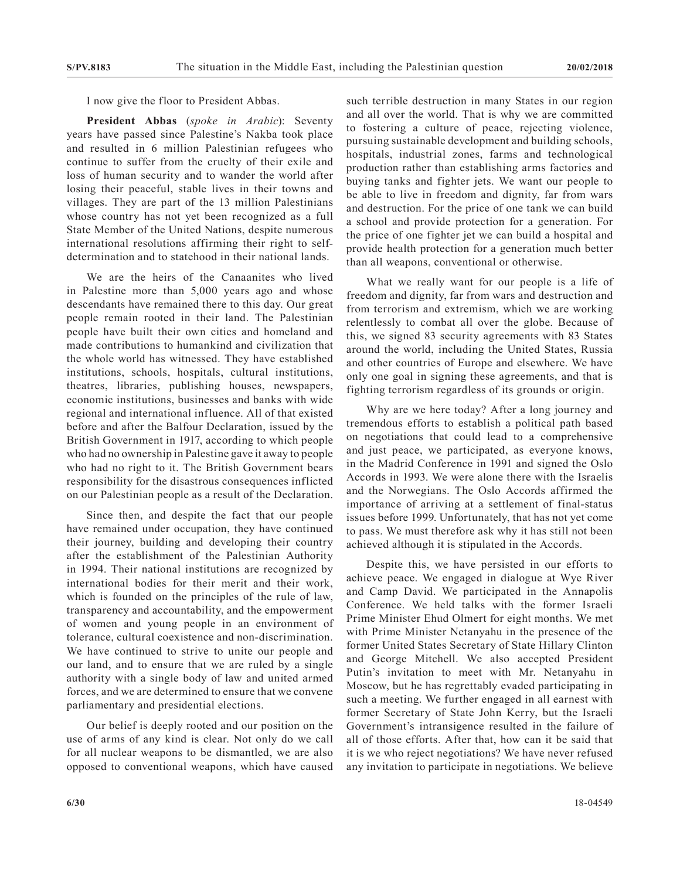I now give the floor to President Abbas.

**President Abbas** (*spoke in Arabic*): Seventy years have passed since Palestine's Nakba took place and resulted in 6 million Palestinian refugees who continue to suffer from the cruelty of their exile and loss of human security and to wander the world after losing their peaceful, stable lives in their towns and villages. They are part of the 13 million Palestinians whose country has not yet been recognized as a full State Member of the United Nations, despite numerous international resolutions affirming their right to selfdetermination and to statehood in their national lands.

We are the heirs of the Canaanites who lived in Palestine more than 5,000 years ago and whose descendants have remained there to this day. Our great people remain rooted in their land. The Palestinian people have built their own cities and homeland and made contributions to humankind and civilization that the whole world has witnessed. They have established institutions, schools, hospitals, cultural institutions, theatres, libraries, publishing houses, newspapers, economic institutions, businesses and banks with wide regional and international influence. All of that existed before and after the Balfour Declaration, issued by the British Government in 1917, according to which people who had no ownership in Palestine gave it away to people who had no right to it. The British Government bears responsibility for the disastrous consequences inflicted on our Palestinian people as a result of the Declaration.

Since then, and despite the fact that our people have remained under occupation, they have continued their journey, building and developing their country after the establishment of the Palestinian Authority in 1994. Their national institutions are recognized by international bodies for their merit and their work, which is founded on the principles of the rule of law, transparency and accountability, and the empowerment of women and young people in an environment of tolerance, cultural coexistence and non-discrimination. We have continued to strive to unite our people and our land, and to ensure that we are ruled by a single authority with a single body of law and united armed forces, and we are determined to ensure that we convene parliamentary and presidential elections.

Our belief is deeply rooted and our position on the use of arms of any kind is clear. Not only do we call for all nuclear weapons to be dismantled, we are also opposed to conventional weapons, which have caused such terrible destruction in many States in our region and all over the world. That is why we are committed to fostering a culture of peace, rejecting violence, pursuing sustainable development and building schools, hospitals, industrial zones, farms and technological production rather than establishing arms factories and buying tanks and fighter jets. We want our people to be able to live in freedom and dignity, far from wars and destruction. For the price of one tank we can build a school and provide protection for a generation. For the price of one fighter jet we can build a hospital and provide health protection for a generation much better than all weapons, conventional or otherwise.

What we really want for our people is a life of freedom and dignity, far from wars and destruction and from terrorism and extremism, which we are working relentlessly to combat all over the globe. Because of this, we signed 83 security agreements with 83 States around the world, including the United States, Russia and other countries of Europe and elsewhere. We have only one goal in signing these agreements, and that is fighting terrorism regardless of its grounds or origin.

Why are we here today? After a long journey and tremendous efforts to establish a political path based on negotiations that could lead to a comprehensive and just peace, we participated, as everyone knows, in the Madrid Conference in 1991 and signed the Oslo Accords in 1993. We were alone there with the Israelis and the Norwegians. The Oslo Accords affirmed the importance of arriving at a settlement of final-status issues before 1999. Unfortunately, that has not yet come to pass. We must therefore ask why it has still not been achieved although it is stipulated in the Accords.

Despite this, we have persisted in our efforts to achieve peace. We engaged in dialogue at Wye River and Camp David. We participated in the Annapolis Conference. We held talks with the former Israeli Prime Minister Ehud Olmert for eight months. We met with Prime Minister Netanyahu in the presence of the former United States Secretary of State Hillary Clinton and George Mitchell. We also accepted President Putin's invitation to meet with Mr. Netanyahu in Moscow, but he has regrettably evaded participating in such a meeting. We further engaged in all earnest with former Secretary of State John Kerry, but the Israeli Government's intransigence resulted in the failure of all of those efforts. After that, how can it be said that it is we who reject negotiations? We have never refused any invitation to participate in negotiations. We believe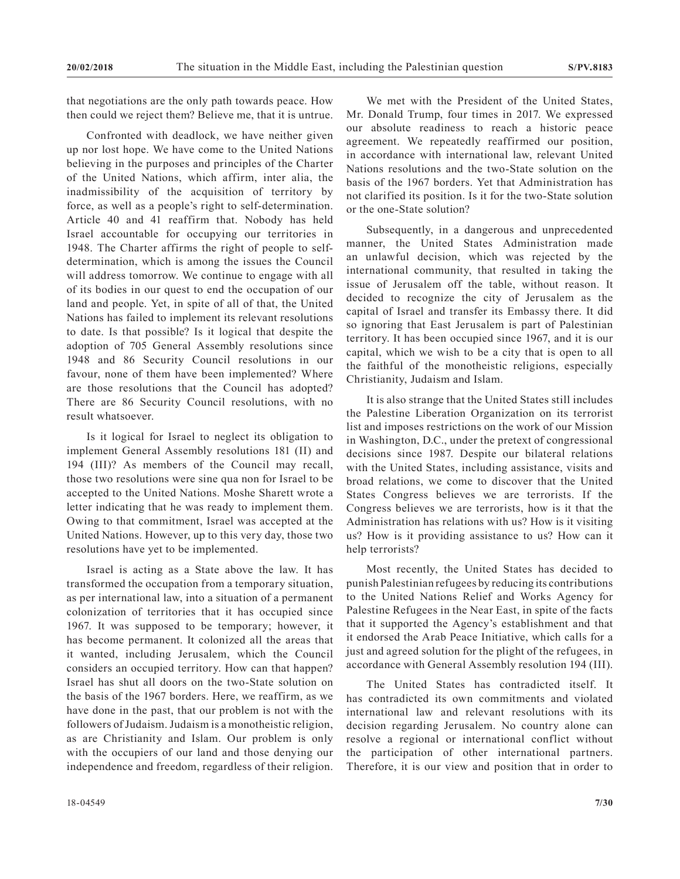that negotiations are the only path towards peace. How then could we reject them? Believe me, that it is untrue.

Confronted with deadlock, we have neither given up nor lost hope. We have come to the United Nations believing in the purposes and principles of the Charter of the United Nations, which affirm, inter alia, the inadmissibility of the acquisition of territory by force, as well as a people's right to self-determination. Article 40 and 41 reaffirm that. Nobody has held Israel accountable for occupying our territories in 1948. The Charter affirms the right of people to selfdetermination, which is among the issues the Council will address tomorrow. We continue to engage with all of its bodies in our quest to end the occupation of our land and people. Yet, in spite of all of that, the United Nations has failed to implement its relevant resolutions to date. Is that possible? Is it logical that despite the adoption of 705 General Assembly resolutions since 1948 and 86 Security Council resolutions in our favour, none of them have been implemented? Where are those resolutions that the Council has adopted? There are 86 Security Council resolutions, with no result whatsoever.

Is it logical for Israel to neglect its obligation to implement General Assembly resolutions 181 (II) and 194 (III)? As members of the Council may recall, those two resolutions were sine qua non for Israel to be accepted to the United Nations. Moshe Sharett wrote a letter indicating that he was ready to implement them. Owing to that commitment, Israel was accepted at the United Nations. However, up to this very day, those two resolutions have yet to be implemented.

Israel is acting as a State above the law. It has transformed the occupation from a temporary situation, as per international law, into a situation of a permanent colonization of territories that it has occupied since 1967. It was supposed to be temporary; however, it has become permanent. It colonized all the areas that it wanted, including Jerusalem, which the Council considers an occupied territory. How can that happen? Israel has shut all doors on the two-State solution on the basis of the 1967 borders. Here, we reaffirm, as we have done in the past, that our problem is not with the followers of Judaism. Judaism is a monotheistic religion, as are Christianity and Islam. Our problem is only with the occupiers of our land and those denying our independence and freedom, regardless of their religion.

We met with the President of the United States, Mr. Donald Trump, four times in 2017. We expressed our absolute readiness to reach a historic peace agreement. We repeatedly reaffirmed our position, in accordance with international law, relevant United Nations resolutions and the two-State solution on the basis of the 1967 borders. Yet that Administration has not clarified its position. Is it for the two-State solution or the one-State solution?

Subsequently, in a dangerous and unprecedented manner, the United States Administration made an unlawful decision, which was rejected by the international community, that resulted in taking the issue of Jerusalem off the table, without reason. It decided to recognize the city of Jerusalem as the capital of Israel and transfer its Embassy there. It did so ignoring that East Jerusalem is part of Palestinian territory. It has been occupied since 1967, and it is our capital, which we wish to be a city that is open to all the faithful of the monotheistic religions, especially Christianity, Judaism and Islam.

It is also strange that the United States still includes the Palestine Liberation Organization on its terrorist list and imposes restrictions on the work of our Mission in Washington, D.C., under the pretext of congressional decisions since 1987. Despite our bilateral relations with the United States, including assistance, visits and broad relations, we come to discover that the United States Congress believes we are terrorists. If the Congress believes we are terrorists, how is it that the Administration has relations with us? How is it visiting us? How is it providing assistance to us? How can it help terrorists?

Most recently, the United States has decided to punish Palestinian refugees by reducing its contributions to the United Nations Relief and Works Agency for Palestine Refugees in the Near East, in spite of the facts that it supported the Agency's establishment and that it endorsed the Arab Peace Initiative, which calls for a just and agreed solution for the plight of the refugees, in accordance with General Assembly resolution 194 (III).

The United States has contradicted itself. It has contradicted its own commitments and violated international law and relevant resolutions with its decision regarding Jerusalem. No country alone can resolve a regional or international conflict without the participation of other international partners. Therefore, it is our view and position that in order to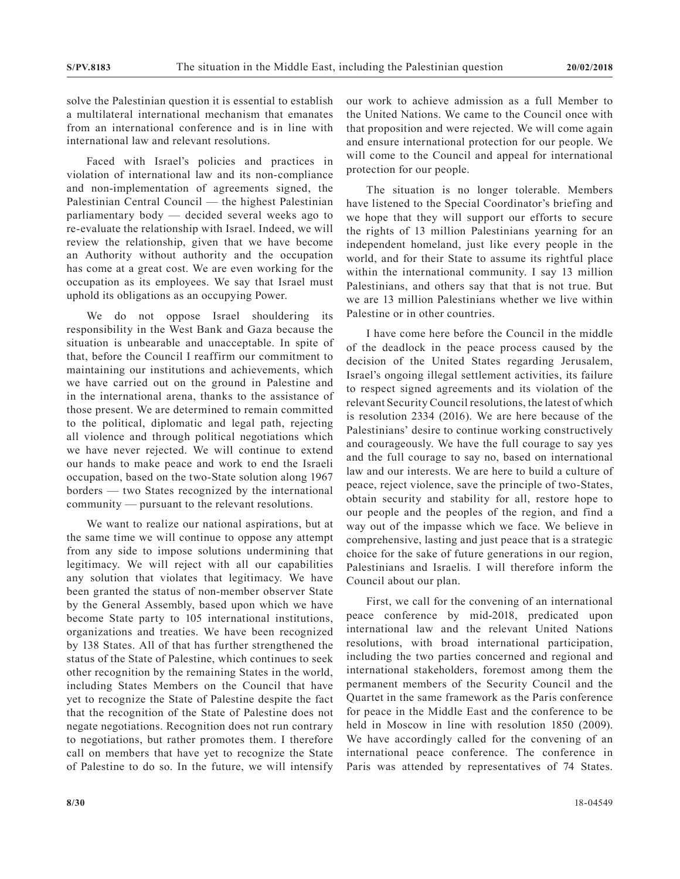solve the Palestinian question it is essential to establish a multilateral international mechanism that emanates from an international conference and is in line with international law and relevant resolutions.

Faced with Israel's policies and practices in violation of international law and its non-compliance and non-implementation of agreements signed, the Palestinian Central Council — the highest Palestinian parliamentary body — decided several weeks ago to re-evaluate the relationship with Israel. Indeed, we will review the relationship, given that we have become an Authority without authority and the occupation has come at a great cost. We are even working for the occupation as its employees. We say that Israel must uphold its obligations as an occupying Power.

We do not oppose Israel shouldering its responsibility in the West Bank and Gaza because the situation is unbearable and unacceptable. In spite of that, before the Council I reaffirm our commitment to maintaining our institutions and achievements, which we have carried out on the ground in Palestine and in the international arena, thanks to the assistance of those present. We are determined to remain committed to the political, diplomatic and legal path, rejecting all violence and through political negotiations which we have never rejected. We will continue to extend our hands to make peace and work to end the Israeli occupation, based on the two-State solution along 1967 borders — two States recognized by the international community — pursuant to the relevant resolutions.

We want to realize our national aspirations, but at the same time we will continue to oppose any attempt from any side to impose solutions undermining that legitimacy. We will reject with all our capabilities any solution that violates that legitimacy. We have been granted the status of non-member observer State by the General Assembly, based upon which we have become State party to 105 international institutions, organizations and treaties. We have been recognized by 138 States. All of that has further strengthened the status of the State of Palestine, which continues to seek other recognition by the remaining States in the world, including States Members on the Council that have yet to recognize the State of Palestine despite the fact that the recognition of the State of Palestine does not negate negotiations. Recognition does not run contrary to negotiations, but rather promotes them. I therefore call on members that have yet to recognize the State of Palestine to do so. In the future, we will intensify

our work to achieve admission as a full Member to the United Nations. We came to the Council once with that proposition and were rejected. We will come again and ensure international protection for our people. We will come to the Council and appeal for international protection for our people.

The situation is no longer tolerable. Members have listened to the Special Coordinator's briefing and we hope that they will support our efforts to secure the rights of 13 million Palestinians yearning for an independent homeland, just like every people in the world, and for their State to assume its rightful place within the international community. I say 13 million Palestinians, and others say that that is not true. But we are 13 million Palestinians whether we live within Palestine or in other countries.

I have come here before the Council in the middle of the deadlock in the peace process caused by the decision of the United States regarding Jerusalem, Israel's ongoing illegal settlement activities, its failure to respect signed agreements and its violation of the relevant Security Council resolutions, the latest of which is resolution 2334 (2016). We are here because of the Palestinians' desire to continue working constructively and courageously. We have the full courage to say yes and the full courage to say no, based on international law and our interests. We are here to build a culture of peace, reject violence, save the principle of two-States, obtain security and stability for all, restore hope to our people and the peoples of the region, and find a way out of the impasse which we face. We believe in comprehensive, lasting and just peace that is a strategic choice for the sake of future generations in our region, Palestinians and Israelis. I will therefore inform the Council about our plan.

First, we call for the convening of an international peace conference by mid-2018, predicated upon international law and the relevant United Nations resolutions, with broad international participation, including the two parties concerned and regional and international stakeholders, foremost among them the permanent members of the Security Council and the Quartet in the same framework as the Paris conference for peace in the Middle East and the conference to be held in Moscow in line with resolution 1850 (2009). We have accordingly called for the convening of an international peace conference. The conference in Paris was attended by representatives of 74 States.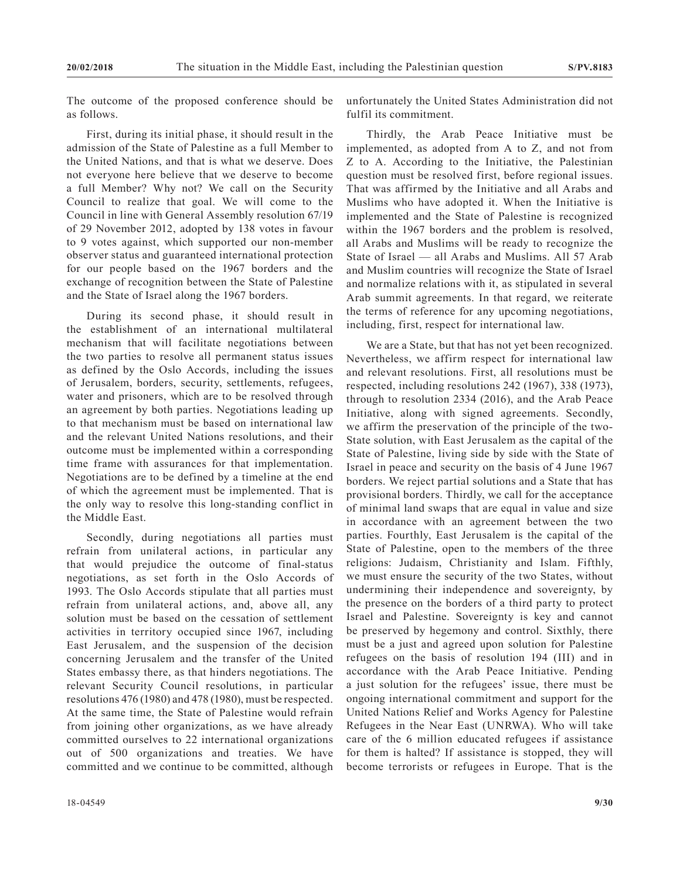The outcome of the proposed conference should be as follows.

First, during its initial phase, it should result in the admission of the State of Palestine as a full Member to the United Nations, and that is what we deserve. Does not everyone here believe that we deserve to become a full Member? Why not? We call on the Security Council to realize that goal. We will come to the Council in line with General Assembly resolution 67/19 of 29 November 2012, adopted by 138 votes in favour to 9 votes against, which supported our non-member observer status and guaranteed international protection for our people based on the 1967 borders and the exchange of recognition between the State of Palestine and the State of Israel along the 1967 borders.

During its second phase, it should result in the establishment of an international multilateral mechanism that will facilitate negotiations between the two parties to resolve all permanent status issues as defined by the Oslo Accords, including the issues of Jerusalem, borders, security, settlements, refugees, water and prisoners, which are to be resolved through an agreement by both parties. Negotiations leading up to that mechanism must be based on international law and the relevant United Nations resolutions, and their outcome must be implemented within a corresponding time frame with assurances for that implementation. Negotiations are to be defined by a timeline at the end of which the agreement must be implemented. That is the only way to resolve this long-standing conflict in the Middle East.

Secondly, during negotiations all parties must refrain from unilateral actions, in particular any that would prejudice the outcome of final-status negotiations, as set forth in the Oslo Accords of 1993. The Oslo Accords stipulate that all parties must refrain from unilateral actions, and, above all, any solution must be based on the cessation of settlement activities in territory occupied since 1967, including East Jerusalem, and the suspension of the decision concerning Jerusalem and the transfer of the United States embassy there, as that hinders negotiations. The relevant Security Council resolutions, in particular resolutions 476 (1980) and 478 (1980), must be respected. At the same time, the State of Palestine would refrain from joining other organizations, as we have already committed ourselves to 22 international organizations out of 500 organizations and treaties. We have committed and we continue to be committed, although

unfortunately the United States Administration did not fulfil its commitment.

Thirdly, the Arab Peace Initiative must be implemented, as adopted from A to Z, and not from Z to A. According to the Initiative, the Palestinian question must be resolved first, before regional issues. That was affirmed by the Initiative and all Arabs and Muslims who have adopted it. When the Initiative is implemented and the State of Palestine is recognized within the 1967 borders and the problem is resolved, all Arabs and Muslims will be ready to recognize the State of Israel — all Arabs and Muslims. All 57 Arab and Muslim countries will recognize the State of Israel and normalize relations with it, as stipulated in several Arab summit agreements. In that regard, we reiterate the terms of reference for any upcoming negotiations, including, first, respect for international law.

We are a State, but that has not yet been recognized. Nevertheless, we affirm respect for international law and relevant resolutions. First, all resolutions must be respected, including resolutions 242 (1967), 338 (1973), through to resolution 2334 (2016), and the Arab Peace Initiative, along with signed agreements. Secondly, we affirm the preservation of the principle of the two-State solution, with East Jerusalem as the capital of the State of Palestine, living side by side with the State of Israel in peace and security on the basis of 4 June 1967 borders. We reject partial solutions and a State that has provisional borders. Thirdly, we call for the acceptance of minimal land swaps that are equal in value and size in accordance with an agreement between the two parties. Fourthly, East Jerusalem is the capital of the State of Palestine, open to the members of the three religions: Judaism, Christianity and Islam. Fifthly, we must ensure the security of the two States, without undermining their independence and sovereignty, by the presence on the borders of a third party to protect Israel and Palestine. Sovereignty is key and cannot be preserved by hegemony and control. Sixthly, there must be a just and agreed upon solution for Palestine refugees on the basis of resolution 194 (III) and in accordance with the Arab Peace Initiative. Pending a just solution for the refugees' issue, there must be ongoing international commitment and support for the United Nations Relief and Works Agency for Palestine Refugees in the Near East (UNRWA). Who will take care of the 6 million educated refugees if assistance for them is halted? If assistance is stopped, they will become terrorists or refugees in Europe. That is the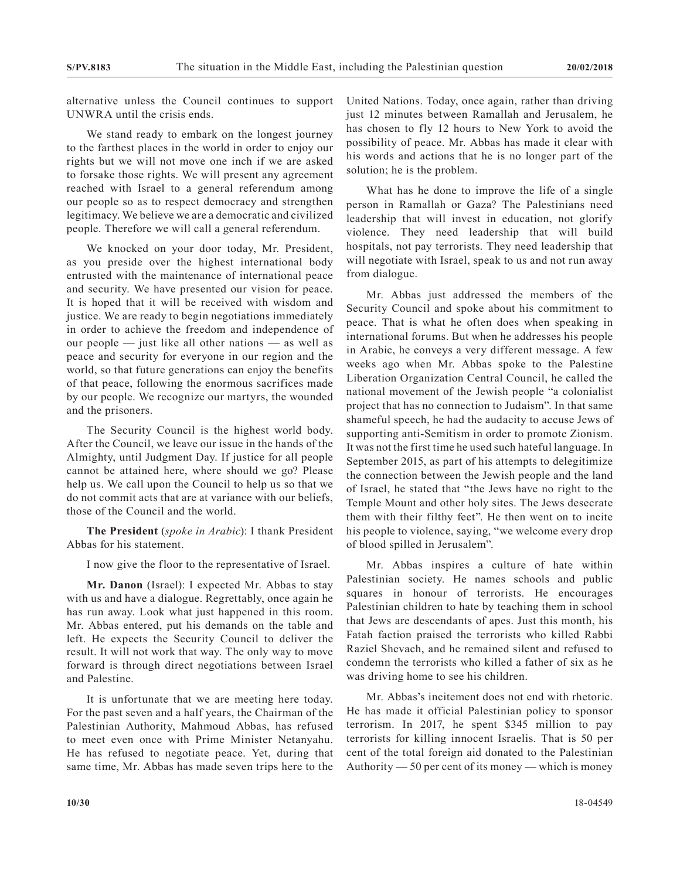alternative unless the Council continues to support UNWRA until the crisis ends.

We stand ready to embark on the longest journey to the farthest places in the world in order to enjoy our rights but we will not move one inch if we are asked to forsake those rights. We will present any agreement reached with Israel to a general referendum among our people so as to respect democracy and strengthen legitimacy. We believe we are a democratic and civilized people. Therefore we will call a general referendum.

We knocked on your door today, Mr. President, as you preside over the highest international body entrusted with the maintenance of international peace and security. We have presented our vision for peace. It is hoped that it will be received with wisdom and justice. We are ready to begin negotiations immediately in order to achieve the freedom and independence of our people — just like all other nations — as well as peace and security for everyone in our region and the world, so that future generations can enjoy the benefits of that peace, following the enormous sacrifices made by our people. We recognize our martyrs, the wounded and the prisoners.

The Security Council is the highest world body. After the Council, we leave our issue in the hands of the Almighty, until Judgment Day. If justice for all people cannot be attained here, where should we go? Please help us. We call upon the Council to help us so that we do not commit acts that are at variance with our beliefs, those of the Council and the world.

**The President** (*spoke in Arabic*): I thank President Abbas for his statement.

I now give the floor to the representative of Israel.

**Mr. Danon** (Israel): I expected Mr. Abbas to stay with us and have a dialogue. Regrettably, once again he has run away. Look what just happened in this room. Mr. Abbas entered, put his demands on the table and left. He expects the Security Council to deliver the result. It will not work that way. The only way to move forward is through direct negotiations between Israel and Palestine.

It is unfortunate that we are meeting here today. For the past seven and a half years, the Chairman of the Palestinian Authority, Mahmoud Abbas, has refused to meet even once with Prime Minister Netanyahu. He has refused to negotiate peace. Yet, during that same time, Mr. Abbas has made seven trips here to the United Nations. Today, once again, rather than driving just 12 minutes between Ramallah and Jerusalem, he has chosen to fly 12 hours to New York to avoid the possibility of peace. Mr. Abbas has made it clear with his words and actions that he is no longer part of the solution; he is the problem.

What has he done to improve the life of a single person in Ramallah or Gaza? The Palestinians need leadership that will invest in education, not glorify violence. They need leadership that will build hospitals, not pay terrorists. They need leadership that will negotiate with Israel, speak to us and not run away from dialogue.

Mr. Abbas just addressed the members of the Security Council and spoke about his commitment to peace. That is what he often does when speaking in international forums. But when he addresses his people in Arabic, he conveys a very different message. A few weeks ago when Mr. Abbas spoke to the Palestine Liberation Organization Central Council, he called the national movement of the Jewish people "a colonialist project that has no connection to Judaism". In that same shameful speech, he had the audacity to accuse Jews of supporting anti-Semitism in order to promote Zionism. It was not the first time he used such hateful language. In September 2015, as part of his attempts to delegitimize the connection between the Jewish people and the land of Israel, he stated that "the Jews have no right to the Temple Mount and other holy sites. The Jews desecrate them with their filthy feet". He then went on to incite his people to violence, saying, "we welcome every drop of blood spilled in Jerusalem".

Mr. Abbas inspires a culture of hate within Palestinian society. He names schools and public squares in honour of terrorists. He encourages Palestinian children to hate by teaching them in school that Jews are descendants of apes. Just this month, his Fatah faction praised the terrorists who killed Rabbi Raziel Shevach, and he remained silent and refused to condemn the terrorists who killed a father of six as he was driving home to see his children.

Mr. Abbas's incitement does not end with rhetoric. He has made it official Palestinian policy to sponsor terrorism. In 2017, he spent \$345 million to pay terrorists for killing innocent Israelis. That is 50 per cent of the total foreign aid donated to the Palestinian Authority — 50 per cent of its money — which is money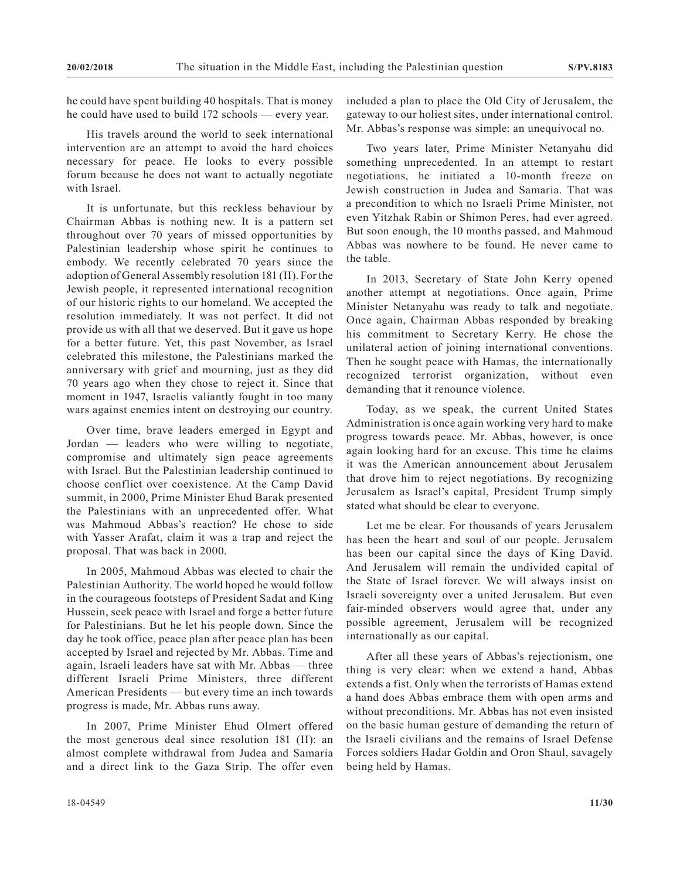he could have spent building 40 hospitals. That is money he could have used to build 172 schools — every year.

His travels around the world to seek international intervention are an attempt to avoid the hard choices necessary for peace. He looks to every possible forum because he does not want to actually negotiate with Israel.

It is unfortunate, but this reckless behaviour by Chairman Abbas is nothing new. It is a pattern set throughout over 70 years of missed opportunities by Palestinian leadership whose spirit he continues to embody. We recently celebrated 70 years since the adoption of General Assembly resolution 181 (II). For the Jewish people, it represented international recognition of our historic rights to our homeland. We accepted the resolution immediately. It was not perfect. It did not provide us with all that we deserved. But it gave us hope for a better future. Yet, this past November, as Israel celebrated this milestone, the Palestinians marked the anniversary with grief and mourning, just as they did 70 years ago when they chose to reject it. Since that moment in 1947, Israelis valiantly fought in too many wars against enemies intent on destroying our country.

Over time, brave leaders emerged in Egypt and Jordan — leaders who were willing to negotiate, compromise and ultimately sign peace agreements with Israel. But the Palestinian leadership continued to choose conflict over coexistence. At the Camp David summit, in 2000, Prime Minister Ehud Barak presented the Palestinians with an unprecedented offer. What was Mahmoud Abbas's reaction? He chose to side with Yasser Arafat, claim it was a trap and reject the proposal. That was back in 2000.

In 2005, Mahmoud Abbas was elected to chair the Palestinian Authority. The world hoped he would follow in the courageous footsteps of President Sadat and King Hussein, seek peace with Israel and forge a better future for Palestinians. But he let his people down. Since the day he took office, peace plan after peace plan has been accepted by Israel and rejected by Mr. Abbas. Time and again, Israeli leaders have sat with Mr. Abbas — three different Israeli Prime Ministers, three different American Presidents — but every time an inch towards progress is made, Mr. Abbas runs away.

In 2007, Prime Minister Ehud Olmert offered the most generous deal since resolution 181 (II): an almost complete withdrawal from Judea and Samaria and a direct link to the Gaza Strip. The offer even included a plan to place the Old City of Jerusalem, the gateway to our holiest sites, under international control. Mr. Abbas's response was simple: an unequivocal no.

Two years later, Prime Minister Netanyahu did something unprecedented. In an attempt to restart negotiations, he initiated a 10-month freeze on Jewish construction in Judea and Samaria. That was a precondition to which no Israeli Prime Minister, not even Yitzhak Rabin or Shimon Peres, had ever agreed. But soon enough, the 10 months passed, and Mahmoud Abbas was nowhere to be found. He never came to the table.

In 2013, Secretary of State John Kerry opened another attempt at negotiations. Once again, Prime Minister Netanyahu was ready to talk and negotiate. Once again, Chairman Abbas responded by breaking his commitment to Secretary Kerry. He chose the unilateral action of joining international conventions. Then he sought peace with Hamas, the internationally recognized terrorist organization, without even demanding that it renounce violence.

Today, as we speak, the current United States Administration is once again working very hard to make progress towards peace. Mr. Abbas, however, is once again looking hard for an excuse. This time he claims it was the American announcement about Jerusalem that drove him to reject negotiations. By recognizing Jerusalem as Israel's capital, President Trump simply stated what should be clear to everyone.

Let me be clear. For thousands of years Jerusalem has been the heart and soul of our people. Jerusalem has been our capital since the days of King David. And Jerusalem will remain the undivided capital of the State of Israel forever. We will always insist on Israeli sovereignty over a united Jerusalem. But even fair-minded observers would agree that, under any possible agreement, Jerusalem will be recognized internationally as our capital.

After all these years of Abbas's rejectionism, one thing is very clear: when we extend a hand, Abbas extends a fist. Only when the terrorists of Hamas extend a hand does Abbas embrace them with open arms and without preconditions. Mr. Abbas has not even insisted on the basic human gesture of demanding the return of the Israeli civilians and the remains of Israel Defense Forces soldiers Hadar Goldin and Oron Shaul, savagely being held by Hamas.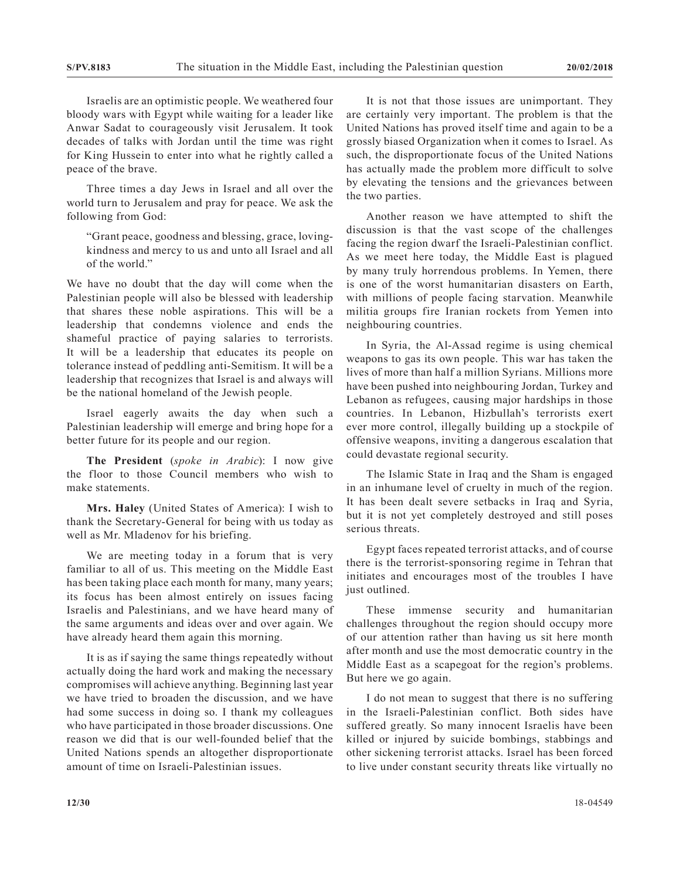Israelis are an optimistic people. We weathered four bloody wars with Egypt while waiting for a leader like Anwar Sadat to courageously visit Jerusalem. It took decades of talks with Jordan until the time was right for King Hussein to enter into what he rightly called a peace of the brave.

Three times a day Jews in Israel and all over the world turn to Jerusalem and pray for peace. We ask the following from God:

"Grant peace, goodness and blessing, grace, lovingkindness and mercy to us and unto all Israel and all of the world."

We have no doubt that the day will come when the Palestinian people will also be blessed with leadership that shares these noble aspirations. This will be a leadership that condemns violence and ends the shameful practice of paying salaries to terrorists. It will be a leadership that educates its people on tolerance instead of peddling anti-Semitism. It will be a leadership that recognizes that Israel is and always will be the national homeland of the Jewish people.

Israel eagerly awaits the day when such a Palestinian leadership will emerge and bring hope for a better future for its people and our region.

**The President** (*spoke in Arabic*): I now give the floor to those Council members who wish to make statements.

**Mrs. Haley** (United States of America): I wish to thank the Secretary-General for being with us today as well as Mr. Mladenov for his briefing.

We are meeting today in a forum that is very familiar to all of us. This meeting on the Middle East has been taking place each month for many, many years; its focus has been almost entirely on issues facing Israelis and Palestinians, and we have heard many of the same arguments and ideas over and over again. We have already heard them again this morning.

It is as if saying the same things repeatedly without actually doing the hard work and making the necessary compromises will achieve anything. Beginning last year we have tried to broaden the discussion, and we have had some success in doing so. I thank my colleagues who have participated in those broader discussions. One reason we did that is our well-founded belief that the United Nations spends an altogether disproportionate amount of time on Israeli-Palestinian issues.

It is not that those issues are unimportant. They are certainly very important. The problem is that the United Nations has proved itself time and again to be a grossly biased Organization when it comes to Israel. As such, the disproportionate focus of the United Nations has actually made the problem more difficult to solve by elevating the tensions and the grievances between the two parties.

Another reason we have attempted to shift the discussion is that the vast scope of the challenges facing the region dwarf the Israeli-Palestinian conflict. As we meet here today, the Middle East is plagued by many truly horrendous problems. In Yemen, there is one of the worst humanitarian disasters on Earth, with millions of people facing starvation. Meanwhile militia groups fire Iranian rockets from Yemen into neighbouring countries.

In Syria, the Al-Assad regime is using chemical weapons to gas its own people. This war has taken the lives of more than half a million Syrians. Millions more have been pushed into neighbouring Jordan, Turkey and Lebanon as refugees, causing major hardships in those countries. In Lebanon, Hizbullah's terrorists exert ever more control, illegally building up a stockpile of offensive weapons, inviting a dangerous escalation that could devastate regional security.

The Islamic State in Iraq and the Sham is engaged in an inhumane level of cruelty in much of the region. It has been dealt severe setbacks in Iraq and Syria, but it is not yet completely destroyed and still poses serious threats.

Egypt faces repeated terrorist attacks, and of course there is the terrorist-sponsoring regime in Tehran that initiates and encourages most of the troubles I have just outlined.

These immense security and humanitarian challenges throughout the region should occupy more of our attention rather than having us sit here month after month and use the most democratic country in the Middle East as a scapegoat for the region's problems. But here we go again.

I do not mean to suggest that there is no suffering in the Israeli-Palestinian conflict. Both sides have suffered greatly. So many innocent Israelis have been killed or injured by suicide bombings, stabbings and other sickening terrorist attacks. Israel has been forced to live under constant security threats like virtually no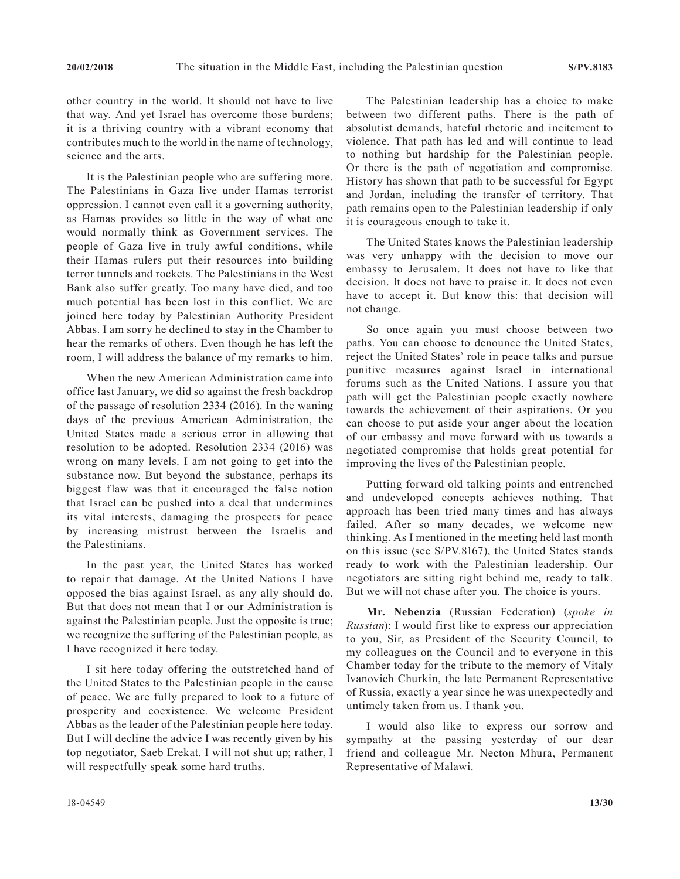other country in the world. It should not have to live that way. And yet Israel has overcome those burdens; it is a thriving country with a vibrant economy that contributes much to the world in the name of technology, science and the arts.

It is the Palestinian people who are suffering more. The Palestinians in Gaza live under Hamas terrorist oppression. I cannot even call it a governing authority, as Hamas provides so little in the way of what one would normally think as Government services. The people of Gaza live in truly awful conditions, while their Hamas rulers put their resources into building terror tunnels and rockets. The Palestinians in the West Bank also suffer greatly. Too many have died, and too much potential has been lost in this conflict. We are joined here today by Palestinian Authority President Abbas. I am sorry he declined to stay in the Chamber to hear the remarks of others. Even though he has left the room, I will address the balance of my remarks to him.

When the new American Administration came into office last January, we did so against the fresh backdrop of the passage of resolution 2334 (2016). In the waning days of the previous American Administration, the United States made a serious error in allowing that resolution to be adopted. Resolution 2334 (2016) was wrong on many levels. I am not going to get into the substance now. But beyond the substance, perhaps its biggest flaw was that it encouraged the false notion that Israel can be pushed into a deal that undermines its vital interests, damaging the prospects for peace by increasing mistrust between the Israelis and the Palestinians.

In the past year, the United States has worked to repair that damage. At the United Nations I have opposed the bias against Israel, as any ally should do. But that does not mean that I or our Administration is against the Palestinian people. Just the opposite is true; we recognize the suffering of the Palestinian people, as I have recognized it here today.

I sit here today offering the outstretched hand of the United States to the Palestinian people in the cause of peace. We are fully prepared to look to a future of prosperity and coexistence. We welcome President Abbas as the leader of the Palestinian people here today. But I will decline the advice I was recently given by his top negotiator, Saeb Erekat. I will not shut up; rather, I will respectfully speak some hard truths.

The Palestinian leadership has a choice to make between two different paths. There is the path of absolutist demands, hateful rhetoric and incitement to violence. That path has led and will continue to lead to nothing but hardship for the Palestinian people. Or there is the path of negotiation and compromise. History has shown that path to be successful for Egypt and Jordan, including the transfer of territory. That path remains open to the Palestinian leadership if only it is courageous enough to take it.

The United States knows the Palestinian leadership was very unhappy with the decision to move our embassy to Jerusalem. It does not have to like that decision. It does not have to praise it. It does not even have to accept it. But know this: that decision will not change.

So once again you must choose between two paths. You can choose to denounce the United States, reject the United States' role in peace talks and pursue punitive measures against Israel in international forums such as the United Nations. I assure you that path will get the Palestinian people exactly nowhere towards the achievement of their aspirations. Or you can choose to put aside your anger about the location of our embassy and move forward with us towards a negotiated compromise that holds great potential for improving the lives of the Palestinian people.

Putting forward old talking points and entrenched and undeveloped concepts achieves nothing. That approach has been tried many times and has always failed. After so many decades, we welcome new thinking. As I mentioned in the meeting held last month on this issue (see S/PV.8167), the United States stands ready to work with the Palestinian leadership. Our negotiators are sitting right behind me, ready to talk. But we will not chase after you. The choice is yours.

**Mr. Nebenzia** (Russian Federation) (*spoke in Russian*): I would first like to express our appreciation to you, Sir, as President of the Security Council, to my colleagues on the Council and to everyone in this Chamber today for the tribute to the memory of Vitaly Ivanovich Churkin, the late Permanent Representative of Russia, exactly a year since he was unexpectedly and untimely taken from us. I thank you.

I would also like to express our sorrow and sympathy at the passing yesterday of our dear friend and colleague Mr. Necton Mhura, Permanent Representative of Malawi.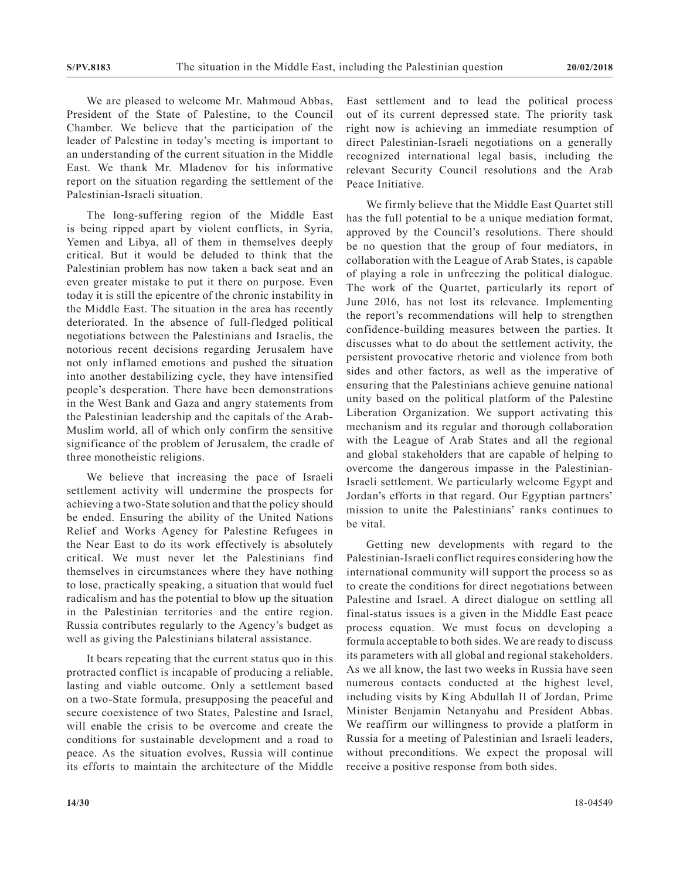We are pleased to welcome Mr. Mahmoud Abbas, President of the State of Palestine, to the Council Chamber. We believe that the participation of the leader of Palestine in today's meeting is important to an understanding of the current situation in the Middle East. We thank Mr. Mladenov for his informative report on the situation regarding the settlement of the Palestinian-Israeli situation.

The long-suffering region of the Middle East is being ripped apart by violent conflicts, in Syria, Yemen and Libya, all of them in themselves deeply critical. But it would be deluded to think that the Palestinian problem has now taken a back seat and an even greater mistake to put it there on purpose. Even today it is still the epicentre of the chronic instability in the Middle East. The situation in the area has recently deteriorated. In the absence of full-fledged political negotiations between the Palestinians and Israelis, the notorious recent decisions regarding Jerusalem have not only inflamed emotions and pushed the situation into another destabilizing cycle, they have intensified people's desperation. There have been demonstrations in the West Bank and Gaza and angry statements from the Palestinian leadership and the capitals of the Arab-Muslim world, all of which only confirm the sensitive significance of the problem of Jerusalem, the cradle of three monotheistic religions.

We believe that increasing the pace of Israeli settlement activity will undermine the prospects for achieving a two-State solution and that the policy should be ended. Ensuring the ability of the United Nations Relief and Works Agency for Palestine Refugees in the Near East to do its work effectively is absolutely critical. We must never let the Palestinians find themselves in circumstances where they have nothing to lose, practically speaking, a situation that would fuel radicalism and has the potential to blow up the situation in the Palestinian territories and the entire region. Russia contributes regularly to the Agency's budget as well as giving the Palestinians bilateral assistance.

It bears repeating that the current status quo in this protracted conflict is incapable of producing a reliable, lasting and viable outcome. Only a settlement based on a two-State formula, presupposing the peaceful and secure coexistence of two States, Palestine and Israel, will enable the crisis to be overcome and create the conditions for sustainable development and a road to peace. As the situation evolves, Russia will continue its efforts to maintain the architecture of the Middle East settlement and to lead the political process out of its current depressed state. The priority task right now is achieving an immediate resumption of direct Palestinian-Israeli negotiations on a generally recognized international legal basis, including the relevant Security Council resolutions and the Arab Peace Initiative.

We firmly believe that the Middle East Quartet still has the full potential to be a unique mediation format, approved by the Council's resolutions. There should be no question that the group of four mediators, in collaboration with the League of Arab States, is capable of playing a role in unfreezing the political dialogue. The work of the Quartet, particularly its report of June 2016, has not lost its relevance. Implementing the report's recommendations will help to strengthen confidence-building measures between the parties. It discusses what to do about the settlement activity, the persistent provocative rhetoric and violence from both sides and other factors, as well as the imperative of ensuring that the Palestinians achieve genuine national unity based on the political platform of the Palestine Liberation Organization. We support activating this mechanism and its regular and thorough collaboration with the League of Arab States and all the regional and global stakeholders that are capable of helping to overcome the dangerous impasse in the Palestinian-Israeli settlement. We particularly welcome Egypt and Jordan's efforts in that regard. Our Egyptian partners' mission to unite the Palestinians' ranks continues to be vital.

Getting new developments with regard to the Palestinian-Israeli conflict requires considering how the international community will support the process so as to create the conditions for direct negotiations between Palestine and Israel. A direct dialogue on settling all final-status issues is a given in the Middle East peace process equation. We must focus on developing a formula acceptable to both sides. We are ready to discuss its parameters with all global and regional stakeholders. As we all know, the last two weeks in Russia have seen numerous contacts conducted at the highest level, including visits by King Abdullah II of Jordan, Prime Minister Benjamin Netanyahu and President Abbas. We reaffirm our willingness to provide a platform in Russia for a meeting of Palestinian and Israeli leaders, without preconditions. We expect the proposal will receive a positive response from both sides.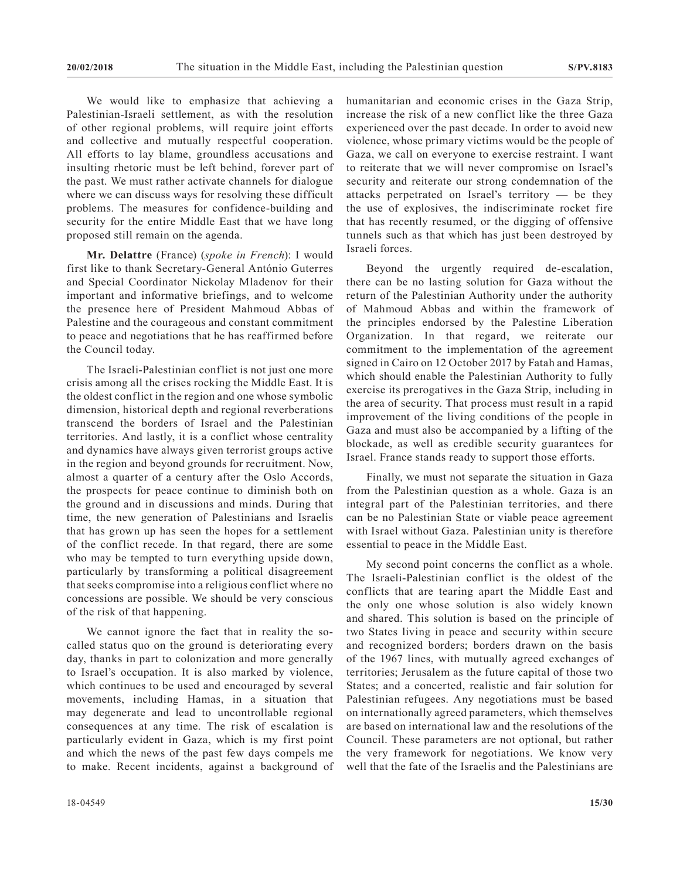We would like to emphasize that achieving a Palestinian-Israeli settlement, as with the resolution of other regional problems, will require joint efforts and collective and mutually respectful cooperation. All efforts to lay blame, groundless accusations and insulting rhetoric must be left behind, forever part of the past. We must rather activate channels for dialogue where we can discuss ways for resolving these difficult problems. The measures for confidence-building and security for the entire Middle East that we have long proposed still remain on the agenda.

**Mr. Delattre** (France) (*spoke in French*): I would first like to thank Secretary-General António Guterres and Special Coordinator Nickolay Mladenov for their important and informative briefings, and to welcome the presence here of President Mahmoud Abbas of Palestine and the courageous and constant commitment to peace and negotiations that he has reaffirmed before the Council today.

The Israeli-Palestinian conflict is not just one more crisis among all the crises rocking the Middle East. It is the oldest conflict in the region and one whose symbolic dimension, historical depth and regional reverberations transcend the borders of Israel and the Palestinian territories. And lastly, it is a conflict whose centrality and dynamics have always given terrorist groups active in the region and beyond grounds for recruitment. Now, almost a quarter of a century after the Oslo Accords, the prospects for peace continue to diminish both on the ground and in discussions and minds. During that time, the new generation of Palestinians and Israelis that has grown up has seen the hopes for a settlement of the conflict recede. In that regard, there are some who may be tempted to turn everything upside down, particularly by transforming a political disagreement that seeks compromise into a religious conflict where no concessions are possible. We should be very conscious of the risk of that happening.

We cannot ignore the fact that in reality the socalled status quo on the ground is deteriorating every day, thanks in part to colonization and more generally to Israel's occupation. It is also marked by violence, which continues to be used and encouraged by several movements, including Hamas, in a situation that may degenerate and lead to uncontrollable regional consequences at any time. The risk of escalation is particularly evident in Gaza, which is my first point and which the news of the past few days compels me to make. Recent incidents, against a background of humanitarian and economic crises in the Gaza Strip, increase the risk of a new conflict like the three Gaza experienced over the past decade. In order to avoid new violence, whose primary victims would be the people of Gaza, we call on everyone to exercise restraint. I want to reiterate that we will never compromise on Israel's security and reiterate our strong condemnation of the attacks perpetrated on Israel's territory — be they the use of explosives, the indiscriminate rocket fire that has recently resumed, or the digging of offensive tunnels such as that which has just been destroyed by Israeli forces.

Beyond the urgently required de-escalation, there can be no lasting solution for Gaza without the return of the Palestinian Authority under the authority of Mahmoud Abbas and within the framework of the principles endorsed by the Palestine Liberation Organization. In that regard, we reiterate our commitment to the implementation of the agreement signed in Cairo on 12 October 2017 by Fatah and Hamas, which should enable the Palestinian Authority to fully exercise its prerogatives in the Gaza Strip, including in the area of security. That process must result in a rapid improvement of the living conditions of the people in Gaza and must also be accompanied by a lifting of the blockade, as well as credible security guarantees for Israel. France stands ready to support those efforts.

Finally, we must not separate the situation in Gaza from the Palestinian question as a whole. Gaza is an integral part of the Palestinian territories, and there can be no Palestinian State or viable peace agreement with Israel without Gaza. Palestinian unity is therefore essential to peace in the Middle East.

My second point concerns the conflict as a whole. The Israeli-Palestinian conflict is the oldest of the conflicts that are tearing apart the Middle East and the only one whose solution is also widely known and shared. This solution is based on the principle of two States living in peace and security within secure and recognized borders; borders drawn on the basis of the 1967 lines, with mutually agreed exchanges of territories; Jerusalem as the future capital of those two States; and a concerted, realistic and fair solution for Palestinian refugees. Any negotiations must be based on internationally agreed parameters, which themselves are based on international law and the resolutions of the Council. These parameters are not optional, but rather the very framework for negotiations. We know very well that the fate of the Israelis and the Palestinians are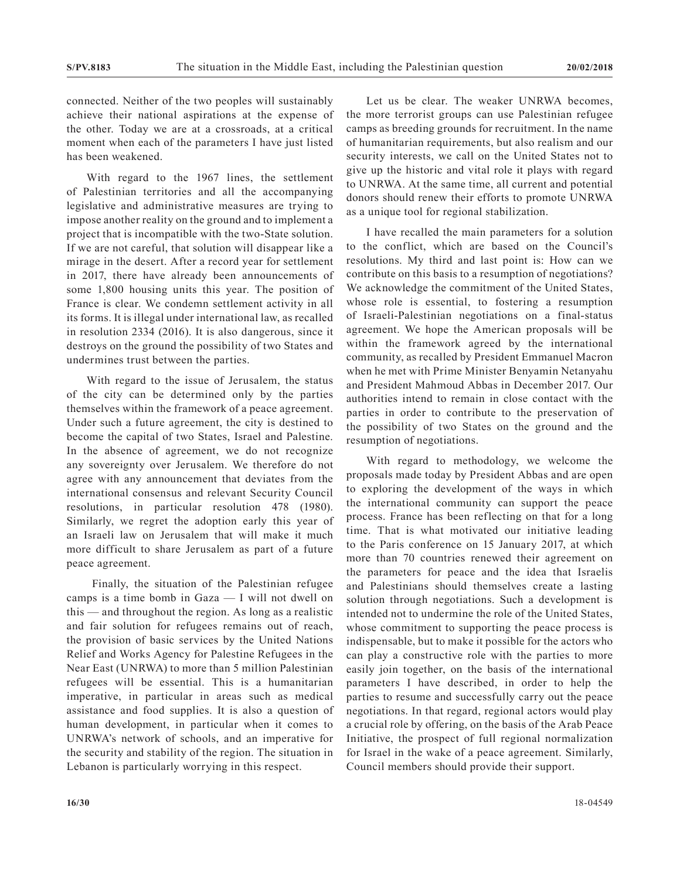connected. Neither of the two peoples will sustainably achieve their national aspirations at the expense of the other. Today we are at a crossroads, at a critical moment when each of the parameters I have just listed has been weakened.

With regard to the 1967 lines, the settlement of Palestinian territories and all the accompanying legislative and administrative measures are trying to impose another reality on the ground and to implement a project that is incompatible with the two-State solution. If we are not careful, that solution will disappear like a mirage in the desert. After a record year for settlement in 2017, there have already been announcements of some 1,800 housing units this year. The position of France is clear. We condemn settlement activity in all its forms. It is illegal under international law, as recalled in resolution 2334 (2016). It is also dangerous, since it destroys on the ground the possibility of two States and undermines trust between the parties.

With regard to the issue of Jerusalem, the status of the city can be determined only by the parties themselves within the framework of a peace agreement. Under such a future agreement, the city is destined to become the capital of two States, Israel and Palestine. In the absence of agreement, we do not recognize any sovereignty over Jerusalem. We therefore do not agree with any announcement that deviates from the international consensus and relevant Security Council resolutions, in particular resolution 478 (1980). Similarly, we regret the adoption early this year of an Israeli law on Jerusalem that will make it much more difficult to share Jerusalem as part of a future peace agreement.

 Finally, the situation of the Palestinian refugee camps is a time bomb in Gaza — I will not dwell on this — and throughout the region. As long as a realistic and fair solution for refugees remains out of reach, the provision of basic services by the United Nations Relief and Works Agency for Palestine Refugees in the Near East (UNRWA) to more than 5 million Palestinian refugees will be essential. This is a humanitarian imperative, in particular in areas such as medical assistance and food supplies. It is also a question of human development, in particular when it comes to UNRWA's network of schools, and an imperative for the security and stability of the region. The situation in Lebanon is particularly worrying in this respect.

Let us be clear. The weaker UNRWA becomes, the more terrorist groups can use Palestinian refugee camps as breeding grounds for recruitment. In the name of humanitarian requirements, but also realism and our security interests, we call on the United States not to give up the historic and vital role it plays with regard to UNRWA. At the same time, all current and potential donors should renew their efforts to promote UNRWA as a unique tool for regional stabilization.

I have recalled the main parameters for a solution to the conflict, which are based on the Council's resolutions. My third and last point is: How can we contribute on this basis to a resumption of negotiations? We acknowledge the commitment of the United States, whose role is essential, to fostering a resumption of Israeli-Palestinian negotiations on a final-status agreement. We hope the American proposals will be within the framework agreed by the international community, as recalled by President Emmanuel Macron when he met with Prime Minister Benyamin Netanyahu and President Mahmoud Abbas in December 2017. Our authorities intend to remain in close contact with the parties in order to contribute to the preservation of the possibility of two States on the ground and the resumption of negotiations.

With regard to methodology, we welcome the proposals made today by President Abbas and are open to exploring the development of the ways in which the international community can support the peace process. France has been reflecting on that for a long time. That is what motivated our initiative leading to the Paris conference on 15 January 2017, at which more than 70 countries renewed their agreement on the parameters for peace and the idea that Israelis and Palestinians should themselves create a lasting solution through negotiations. Such a development is intended not to undermine the role of the United States, whose commitment to supporting the peace process is indispensable, but to make it possible for the actors who can play a constructive role with the parties to more easily join together, on the basis of the international parameters I have described, in order to help the parties to resume and successfully carry out the peace negotiations. In that regard, regional actors would play a crucial role by offering, on the basis of the Arab Peace Initiative, the prospect of full regional normalization for Israel in the wake of a peace agreement. Similarly, Council members should provide their support.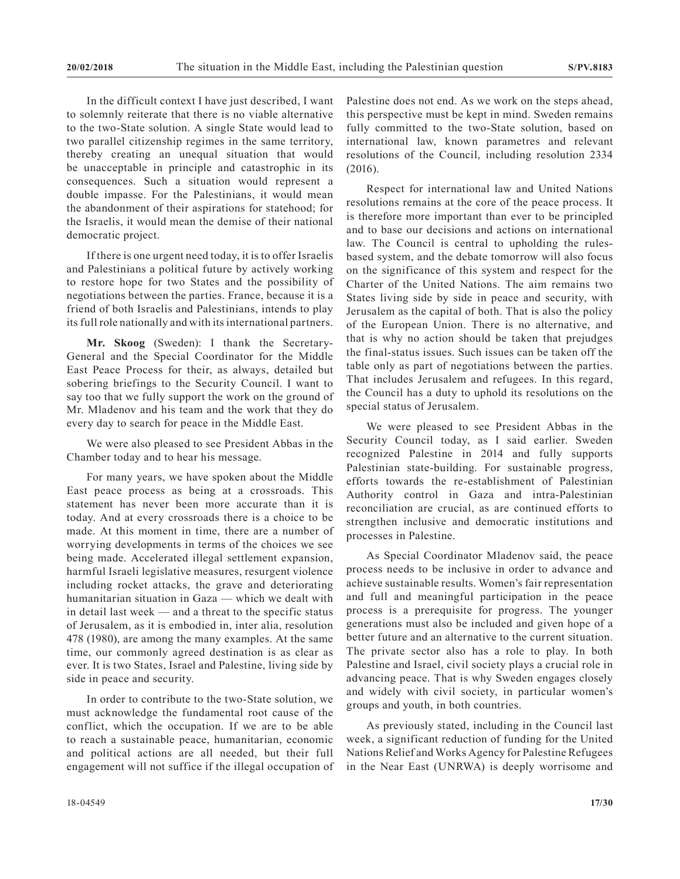In the difficult context I have just described, I want to solemnly reiterate that there is no viable alternative to the two-State solution. A single State would lead to two parallel citizenship regimes in the same territory, thereby creating an unequal situation that would be unacceptable in principle and catastrophic in its consequences. Such a situation would represent a double impasse. For the Palestinians, it would mean the abandonment of their aspirations for statehood; for the Israelis, it would mean the demise of their national democratic project.

If there is one urgent need today, it is to offer Israelis and Palestinians a political future by actively working to restore hope for two States and the possibility of negotiations between the parties. France, because it is a friend of both Israelis and Palestinians, intends to play its full role nationally and with its international partners.

**Mr. Skoog** (Sweden): I thank the Secretary-General and the Special Coordinator for the Middle East Peace Process for their, as always, detailed but sobering briefings to the Security Council. I want to say too that we fully support the work on the ground of Mr. Mladenov and his team and the work that they do every day to search for peace in the Middle East.

We were also pleased to see President Abbas in the Chamber today and to hear his message.

For many years, we have spoken about the Middle East peace process as being at a crossroads. This statement has never been more accurate than it is today. And at every crossroads there is a choice to be made. At this moment in time, there are a number of worrying developments in terms of the choices we see being made. Accelerated illegal settlement expansion, harmful Israeli legislative measures, resurgent violence including rocket attacks, the grave and deteriorating humanitarian situation in Gaza — which we dealt with in detail last week — and a threat to the specific status of Jerusalem, as it is embodied in, inter alia, resolution 478 (1980), are among the many examples. At the same time, our commonly agreed destination is as clear as ever. It is two States, Israel and Palestine, living side by side in peace and security.

In order to contribute to the two-State solution, we must acknowledge the fundamental root cause of the conflict, which the occupation. If we are to be able to reach a sustainable peace, humanitarian, economic and political actions are all needed, but their full engagement will not suffice if the illegal occupation of Palestine does not end. As we work on the steps ahead, this perspective must be kept in mind. Sweden remains fully committed to the two-State solution, based on international law, known parametres and relevant resolutions of the Council, including resolution 2334 (2016).

Respect for international law and United Nations resolutions remains at the core of the peace process. It is therefore more important than ever to be principled and to base our decisions and actions on international law. The Council is central to upholding the rulesbased system, and the debate tomorrow will also focus on the significance of this system and respect for the Charter of the United Nations. The aim remains two States living side by side in peace and security, with Jerusalem as the capital of both. That is also the policy of the European Union. There is no alternative, and that is why no action should be taken that prejudges the final-status issues. Such issues can be taken off the table only as part of negotiations between the parties. That includes Jerusalem and refugees. In this regard, the Council has a duty to uphold its resolutions on the special status of Jerusalem.

We were pleased to see President Abbas in the Security Council today, as I said earlier. Sweden recognized Palestine in 2014 and fully supports Palestinian state-building. For sustainable progress, efforts towards the re-establishment of Palestinian Authority control in Gaza and intra-Palestinian reconciliation are crucial, as are continued efforts to strengthen inclusive and democratic institutions and processes in Palestine.

As Special Coordinator Mladenov said, the peace process needs to be inclusive in order to advance and achieve sustainable results. Women's fair representation and full and meaningful participation in the peace process is a prerequisite for progress. The younger generations must also be included and given hope of a better future and an alternative to the current situation. The private sector also has a role to play. In both Palestine and Israel, civil society plays a crucial role in advancing peace. That is why Sweden engages closely and widely with civil society, in particular women's groups and youth, in both countries.

As previously stated, including in the Council last week, a significant reduction of funding for the United Nations Relief and Works Agency for Palestine Refugees in the Near East (UNRWA) is deeply worrisome and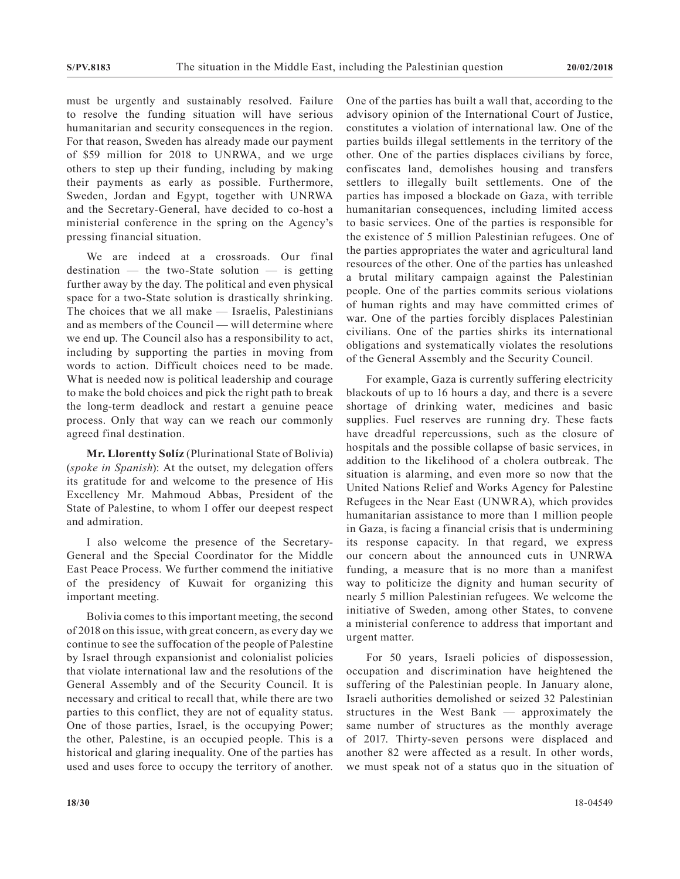must be urgently and sustainably resolved. Failure to resolve the funding situation will have serious humanitarian and security consequences in the region. For that reason, Sweden has already made our payment of \$59 million for 2018 to UNRWA, and we urge others to step up their funding, including by making their payments as early as possible. Furthermore, Sweden, Jordan and Egypt, together with UNRWA and the Secretary-General, have decided to co-host a ministerial conference in the spring on the Agency's pressing financial situation.

We are indeed at a crossroads. Our final destination — the two-State solution — is getting further away by the day. The political and even physical space for a two-State solution is drastically shrinking. The choices that we all make — Israelis, Palestinians and as members of the Council — will determine where we end up. The Council also has a responsibility to act, including by supporting the parties in moving from words to action. Difficult choices need to be made. What is needed now is political leadership and courage to make the bold choices and pick the right path to break the long-term deadlock and restart a genuine peace process. Only that way can we reach our commonly agreed final destination.

**Mr. Llorentty Solíz** (Plurinational State of Bolivia) (*spoke in Spanish*): At the outset, my delegation offers its gratitude for and welcome to the presence of His Excellency Mr. Mahmoud Abbas, President of the State of Palestine, to whom I offer our deepest respect and admiration.

I also welcome the presence of the Secretary-General and the Special Coordinator for the Middle East Peace Process. We further commend the initiative of the presidency of Kuwait for organizing this important meeting.

Bolivia comes to this important meeting, the second of 2018 on this issue, with great concern, as every day we continue to see the suffocation of the people of Palestine by Israel through expansionist and colonialist policies that violate international law and the resolutions of the General Assembly and of the Security Council. It is necessary and critical to recall that, while there are two parties to this conflict, they are not of equality status. One of those parties, Israel, is the occupying Power; the other, Palestine, is an occupied people. This is a historical and glaring inequality. One of the parties has used and uses force to occupy the territory of another. One of the parties has built a wall that, according to the advisory opinion of the International Court of Justice, constitutes a violation of international law. One of the parties builds illegal settlements in the territory of the other. One of the parties displaces civilians by force, confiscates land, demolishes housing and transfers settlers to illegally built settlements. One of the parties has imposed a blockade on Gaza, with terrible humanitarian consequences, including limited access to basic services. One of the parties is responsible for the existence of 5 million Palestinian refugees. One of the parties appropriates the water and agricultural land resources of the other. One of the parties has unleashed a brutal military campaign against the Palestinian people. One of the parties commits serious violations of human rights and may have committed crimes of war. One of the parties forcibly displaces Palestinian civilians. One of the parties shirks its international obligations and systematically violates the resolutions of the General Assembly and the Security Council.

For example, Gaza is currently suffering electricity blackouts of up to 16 hours a day, and there is a severe shortage of drinking water, medicines and basic supplies. Fuel reserves are running dry. These facts have dreadful repercussions, such as the closure of hospitals and the possible collapse of basic services, in addition to the likelihood of a cholera outbreak. The situation is alarming, and even more so now that the United Nations Relief and Works Agency for Palestine Refugees in the Near East (UNWRA), which provides humanitarian assistance to more than 1 million people in Gaza, is facing a financial crisis that is undermining its response capacity. In that regard, we express our concern about the announced cuts in UNRWA funding, a measure that is no more than a manifest way to politicize the dignity and human security of nearly 5 million Palestinian refugees. We welcome the initiative of Sweden, among other States, to convene a ministerial conference to address that important and urgent matter.

For 50 years, Israeli policies of dispossession, occupation and discrimination have heightened the suffering of the Palestinian people. In January alone, Israeli authorities demolished or seized 32 Palestinian structures in the West Bank — approximately the same number of structures as the monthly average of 2017. Thirty-seven persons were displaced and another 82 were affected as a result. In other words, we must speak not of a status quo in the situation of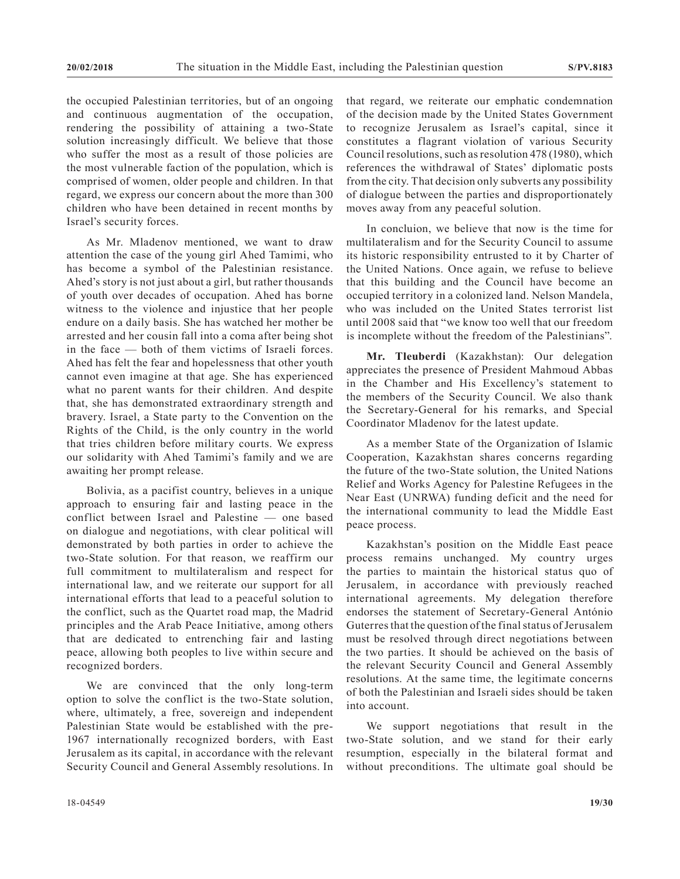the occupied Palestinian territories, but of an ongoing and continuous augmentation of the occupation, rendering the possibility of attaining a two-State solution increasingly difficult. We believe that those who suffer the most as a result of those policies are the most vulnerable faction of the population, which is comprised of women, older people and children. In that regard, we express our concern about the more than 300 children who have been detained in recent months by Israel's security forces.

As Mr. Mladenov mentioned, we want to draw attention the case of the young girl Ahed Tamimi, who has become a symbol of the Palestinian resistance. Ahed's story is not just about a girl, but rather thousands of youth over decades of occupation. Ahed has borne witness to the violence and injustice that her people endure on a daily basis. She has watched her mother be arrested and her cousin fall into a coma after being shot in the face — both of them victims of Israeli forces. Ahed has felt the fear and hopelessness that other youth cannot even imagine at that age. She has experienced what no parent wants for their children. And despite that, she has demonstrated extraordinary strength and bravery. Israel, a State party to the Convention on the Rights of the Child, is the only country in the world that tries children before military courts. We express our solidarity with Ahed Tamimi's family and we are awaiting her prompt release.

Bolivia, as a pacifist country, believes in a unique approach to ensuring fair and lasting peace in the conflict between Israel and Palestine — one based on dialogue and negotiations, with clear political will demonstrated by both parties in order to achieve the two-State solution. For that reason, we reaffirm our full commitment to multilateralism and respect for international law, and we reiterate our support for all international efforts that lead to a peaceful solution to the conflict, such as the Quartet road map, the Madrid principles and the Arab Peace Initiative, among others that are dedicated to entrenching fair and lasting peace, allowing both peoples to live within secure and recognized borders.

We are convinced that the only long-term option to solve the conflict is the two-State solution, where, ultimately, a free, sovereign and independent Palestinian State would be established with the pre-1967 internationally recognized borders, with East Jerusalem as its capital, in accordance with the relevant Security Council and General Assembly resolutions. In that regard, we reiterate our emphatic condemnation of the decision made by the United States Government to recognize Jerusalem as Israel's capital, since it constitutes a flagrant violation of various Security Council resolutions, such as resolution 478 (1980), which references the withdrawal of States' diplomatic posts from the city. That decision only subverts any possibility of dialogue between the parties and disproportionately moves away from any peaceful solution.

In concluion, we believe that now is the time for multilateralism and for the Security Council to assume its historic responsibility entrusted to it by Charter of the United Nations. Once again, we refuse to believe that this building and the Council have become an occupied territory in a colonized land. Nelson Mandela, who was included on the United States terrorist list until 2008 said that "we know too well that our freedom is incomplete without the freedom of the Palestinians".

**Mr. Tleuberdi** (Kazakhstan): Our delegation appreciates the presence of President Mahmoud Abbas in the Chamber and His Excellency's statement to the members of the Security Council. We also thank the Secretary-General for his remarks, and Special Coordinator Mladenov for the latest update.

As a member State of the Organization of Islamic Cooperation, Kazakhstan shares concerns regarding the future of the two-State solution, the United Nations Relief and Works Agency for Palestine Refugees in the Near East (UNRWA) funding deficit and the need for the international community to lead the Middle East peace process.

Kazakhstan's position on the Middle East peace process remains unchanged. My country urges the parties to maintain the historical status quo of Jerusalem, in accordance with previously reached international agreements. My delegation therefore endorses the statement of Secretary-General António Guterres that the question of the final status of Jerusalem must be resolved through direct negotiations between the two parties. It should be achieved on the basis of the relevant Security Council and General Assembly resolutions. At the same time, the legitimate concerns of both the Palestinian and Israeli sides should be taken into account.

We support negotiations that result in the two-State solution, and we stand for their early resumption, especially in the bilateral format and without preconditions. The ultimate goal should be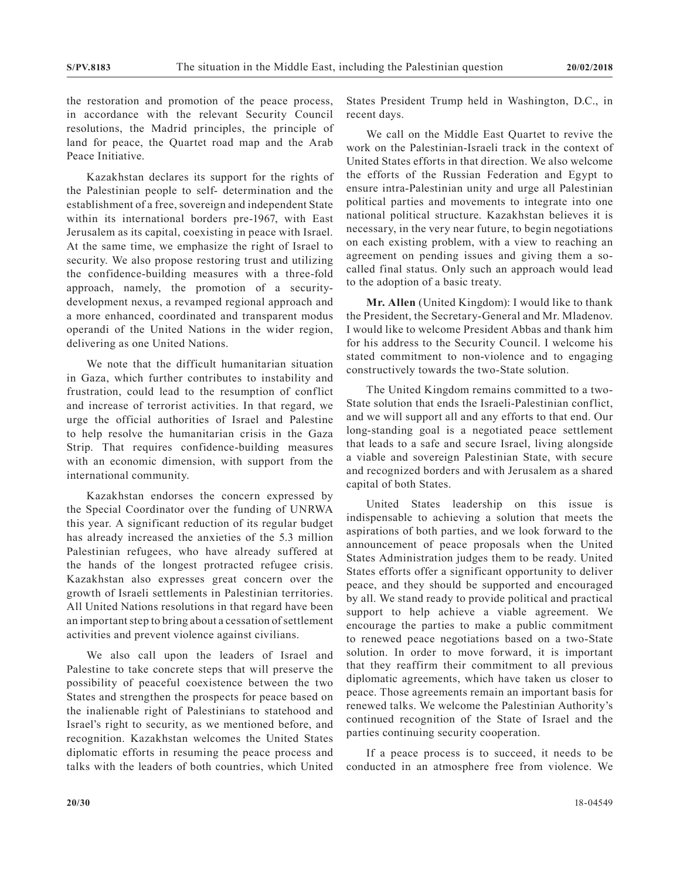the restoration and promotion of the peace process, in accordance with the relevant Security Council resolutions, the Madrid principles, the principle of land for peace, the Quartet road map and the Arab Peace Initiative.

Kazakhstan declares its support for the rights of the Palestinian people to self- determination and the establishment of a free, sovereign and independent State within its international borders pre-1967, with East Jerusalem as its capital, coexisting in peace with Israel. At the same time, we emphasize the right of Israel to security. We also propose restoring trust and utilizing the confidence-building measures with a three-fold approach, namely, the promotion of a securitydevelopment nexus, a revamped regional approach and a more enhanced, coordinated and transparent modus operandi of the United Nations in the wider region, delivering as one United Nations.

We note that the difficult humanitarian situation in Gaza, which further contributes to instability and frustration, could lead to the resumption of conflict and increase of terrorist activities. In that regard, we urge the official authorities of Israel and Palestine to help resolve the humanitarian crisis in the Gaza Strip. That requires confidence-building measures with an economic dimension, with support from the international community.

Kazakhstan endorses the concern expressed by the Special Coordinator over the funding of UNRWA this year. A significant reduction of its regular budget has already increased the anxieties of the 5.3 million Palestinian refugees, who have already suffered at the hands of the longest protracted refugee crisis. Kazakhstan also expresses great concern over the growth of Israeli settlements in Palestinian territories. All United Nations resolutions in that regard have been an important step to bring about a cessation of settlement activities and prevent violence against civilians.

We also call upon the leaders of Israel and Palestine to take concrete steps that will preserve the possibility of peaceful coexistence between the two States and strengthen the prospects for peace based on the inalienable right of Palestinians to statehood and Israel's right to security, as we mentioned before, and recognition. Kazakhstan welcomes the United States diplomatic efforts in resuming the peace process and talks with the leaders of both countries, which United

States President Trump held in Washington, D.C., in recent days.

We call on the Middle East Quartet to revive the work on the Palestinian-Israeli track in the context of United States efforts in that direction. We also welcome the efforts of the Russian Federation and Egypt to ensure intra-Palestinian unity and urge all Palestinian political parties and movements to integrate into one national political structure. Kazakhstan believes it is necessary, in the very near future, to begin negotiations on each existing problem, with a view to reaching an agreement on pending issues and giving them a socalled final status. Only such an approach would lead to the adoption of a basic treaty.

**Mr. Allen** (United Kingdom): I would like to thank the President, the Secretary-General and Mr. Mladenov. I would like to welcome President Abbas and thank him for his address to the Security Council. I welcome his stated commitment to non-violence and to engaging constructively towards the two-State solution.

The United Kingdom remains committed to a two-State solution that ends the Israeli-Palestinian conflict, and we will support all and any efforts to that end. Our long-standing goal is a negotiated peace settlement that leads to a safe and secure Israel, living alongside a viable and sovereign Palestinian State, with secure and recognized borders and with Jerusalem as a shared capital of both States.

United States leadership on this issue is indispensable to achieving a solution that meets the aspirations of both parties, and we look forward to the announcement of peace proposals when the United States Administration judges them to be ready. United States efforts offer a significant opportunity to deliver peace, and they should be supported and encouraged by all. We stand ready to provide political and practical support to help achieve a viable agreement. We encourage the parties to make a public commitment to renewed peace negotiations based on a two-State solution. In order to move forward, it is important that they reaffirm their commitment to all previous diplomatic agreements, which have taken us closer to peace. Those agreements remain an important basis for renewed talks. We welcome the Palestinian Authority's continued recognition of the State of Israel and the parties continuing security cooperation.

If a peace process is to succeed, it needs to be conducted in an atmosphere free from violence. We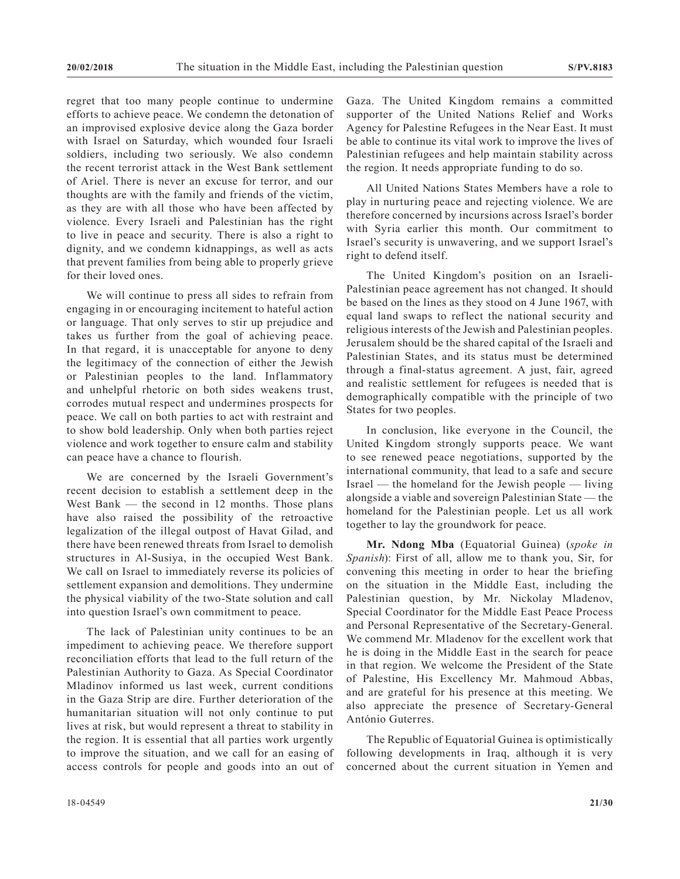regret that too many people continue to undermine efforts to achieve peace. We condemn the detonation of an improvised explosive device along the Gaza border with Israel on Saturday, which wounded four Israeli soldiers, including two seriously. We also condemn the recent terrorist attack in the West Bank settlement of Ariel. There is never an excuse for terror, and our thoughts are with the family and friends of the victim, as they are with all those who have been affected by violence. Every Israeli and Palestinian has the right to live in peace and security. There is also a right to dignity, and we condemn kidnappings, as well as acts that prevent families from being able to properly grieve for their loved ones.

We will continue to press all sides to refrain from engaging in or encouraging incitement to hateful action or language. That only serves to stir up prejudice and takes us further from the goal of achieving peace. In that regard, it is unacceptable for anyone to deny the legitimacy of the connection of either the Jewish or Palestinian peoples to the land. Inflammatory and unhelpful rhetoric on both sides weakens trust, corrodes mutual respect and undermines prospects for peace. We call on both parties to act with restraint and to show bold leadership. Only when both parties reject violence and work together to ensure calm and stability can peace have a chance to flourish.

We are concerned by the Israeli Government's recent decision to establish a settlement deep in the West Bank — the second in 12 months. Those plans have also raised the possibility of the retroactive legalization of the illegal outpost of Havat Gilad, and there have been renewed threats from Israel to demolish structures in Al-Susiya, in the occupied West Bank. We call on Israel to immediately reverse its policies of settlement expansion and demolitions. They undermine the physical viability of the two-State solution and call into question Israel's own commitment to peace.

The lack of Palestinian unity continues to be an impediment to achieving peace. We therefore support reconciliation efforts that lead to the full return of the Palestinian Authority to Gaza. As Special Coordinator Mladinov informed us last week, current conditions in the Gaza Strip are dire. Further deterioration of the humanitarian situation will not only continue to put lives at risk, but would represent a threat to stability in the region. It is essential that all parties work urgently to improve the situation, and we call for an easing of access controls for people and goods into an out of Gaza. The United Kingdom remains a committed supporter of the United Nations Relief and Works Agency for Palestine Refugees in the Near East. It must be able to continue its vital work to improve the lives of Palestinian refugees and help maintain stability across the region. It needs appropriate funding to do so.

All United Nations States Members have a role to play in nurturing peace and rejecting violence. We are therefore concerned by incursions across Israel's border with Syria earlier this month. Our commitment to Israel's security is unwavering, and we support Israel's right to defend itself.

The United Kingdom's position on an Israeli-Palestinian peace agreement has not changed. It should be based on the lines as they stood on 4 June 1967, with equal land swaps to reflect the national security and religious interests of the Jewish and Palestinian peoples. Jerusalem should be the shared capital of the Israeli and Palestinian States, and its status must be determined through a final-status agreement. A just, fair, agreed and realistic settlement for refugees is needed that is demographically compatible with the principle of two States for two peoples.

In conclusion, like everyone in the Council, the United Kingdom strongly supports peace. We want to see renewed peace negotiations, supported by the international community, that lead to a safe and secure Israel — the homeland for the Jewish people — living alongside a viable and sovereign Palestinian State — the homeland for the Palestinian people. Let us all work together to lay the groundwork for peace.

**Mr. Ndong Mba** (Equatorial Guinea) (*spoke in Spanish*): First of all, allow me to thank you, Sir, for convening this meeting in order to hear the briefing on the situation in the Middle East, including the Palestinian question, by Mr. Nickolay Mladenov, Special Coordinator for the Middle East Peace Process and Personal Representative of the Secretary-General. We commend Mr. Mladenov for the excellent work that he is doing in the Middle East in the search for peace in that region. We welcome the President of the State of Palestine, His Excellency Mr. Mahmoud Abbas, and are grateful for his presence at this meeting. We also appreciate the presence of Secretary-General António Guterres.

The Republic of Equatorial Guinea is optimistically following developments in Iraq, although it is very concerned about the current situation in Yemen and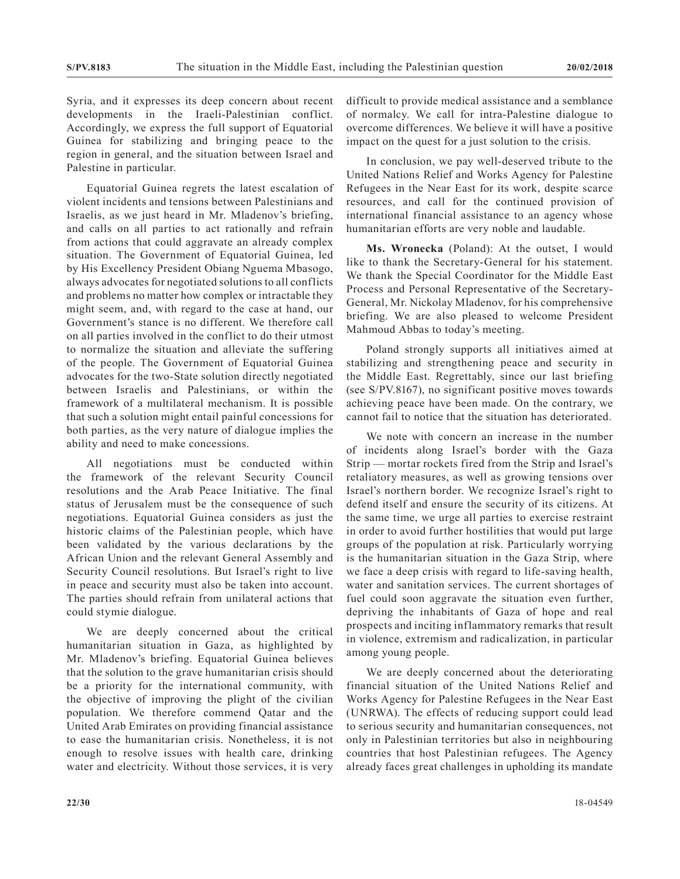Syria, and it expresses its deep concern about recent developments in the Iraeli-Palestinian conflict. Accordingly, we express the full support of Equatorial Guinea for stabilizing and bringing peace to the region in general, and the situation between Israel and Palestine in particular.

Equatorial Guinea regrets the latest escalation of violent incidents and tensions between Palestinians and Israelis, as we just heard in Mr. Mladenov's briefing, and calls on all parties to act rationally and refrain from actions that could aggravate an already complex situation. The Government of Equatorial Guinea, led by His Excellency President Obiang Nguema Mbasogo, always advocates for negotiated solutions to all conflicts and problems no matter how complex or intractable they might seem, and, with regard to the case at hand, our Government's stance is no different. We therefore call on all parties involved in the conflict to do their utmost to normalize the situation and alleviate the suffering of the people. The Government of Equatorial Guinea advocates for the two-State solution directly negotiated between Israelis and Palestinians, or within the framework of a multilateral mechanism. It is possible that such a solution might entail painful concessions for both parties, as the very nature of dialogue implies the ability and need to make concessions.

All negotiations must be conducted within the framework of the relevant Security Council resolutions and the Arab Peace Initiative. The final status of Jerusalem must be the consequence of such negotiations. Equatorial Guinea considers as just the historic claims of the Palestinian people, which have been validated by the various declarations by the African Union and the relevant General Assembly and Security Council resolutions. But Israel's right to live in peace and security must also be taken into account. The parties should refrain from unilateral actions that could stymie dialogue.

We are deeply concerned about the critical humanitarian situation in Gaza, as highlighted by Mr. Mladenov's briefing. Equatorial Guinea believes that the solution to the grave humanitarian crisis should be a priority for the international community, with the objective of improving the plight of the civilian population. We therefore commend Qatar and the United Arab Emirates on providing financial assistance to ease the humanitarian crisis. Nonetheless, it is not enough to resolve issues with health care, drinking water and electricity. Without those services, it is very difficult to provide medical assistance and a semblance of normalcy. We call for intra-Palestine dialogue to overcome differences. We believe it will have a positive impact on the quest for a just solution to the crisis.

In conclusion, we pay well-deserved tribute to the United Nations Relief and Works Agency for Palestine Refugees in the Near East for its work, despite scarce resources, and call for the continued provision of international financial assistance to an agency whose humanitarian efforts are very noble and laudable.

**Ms. Wronecka** (Poland): At the outset, I would like to thank the Secretary-General for his statement. We thank the Special Coordinator for the Middle East Process and Personal Representative of the Secretary-General, Mr. Nickolay Mladenov, for his comprehensive briefing. We are also pleased to welcome President Mahmoud Abbas to today's meeting.

Poland strongly supports all initiatives aimed at stabilizing and strengthening peace and security in the Middle East. Regrettably, since our last briefing (see S/PV.8167), no significant positive moves towards achieving peace have been made. On the contrary, we cannot fail to notice that the situation has deteriorated.

We note with concern an increase in the number of incidents along Israel's border with the Gaza Strip — mortar rockets fired from the Strip and Israel's retaliatory measures, as well as growing tensions over Israel's northern border. We recognize Israel's right to defend itself and ensure the security of its citizens. At the same time, we urge all parties to exercise restraint in order to avoid further hostilities that would put large groups of the population at risk. Particularly worrying is the humanitarian situation in the Gaza Strip, where we face a deep crisis with regard to life-saving health, water and sanitation services. The current shortages of fuel could soon aggravate the situation even further, depriving the inhabitants of Gaza of hope and real prospects and inciting inflammatory remarks that result in violence, extremism and radicalization, in particular among young people.

We are deeply concerned about the deteriorating financial situation of the United Nations Relief and Works Agency for Palestine Refugees in the Near East (UNRWA). The effects of reducing support could lead to serious security and humanitarian consequences, not only in Palestinian territories but also in neighbouring countries that host Palestinian refugees. The Agency already faces great challenges in upholding its mandate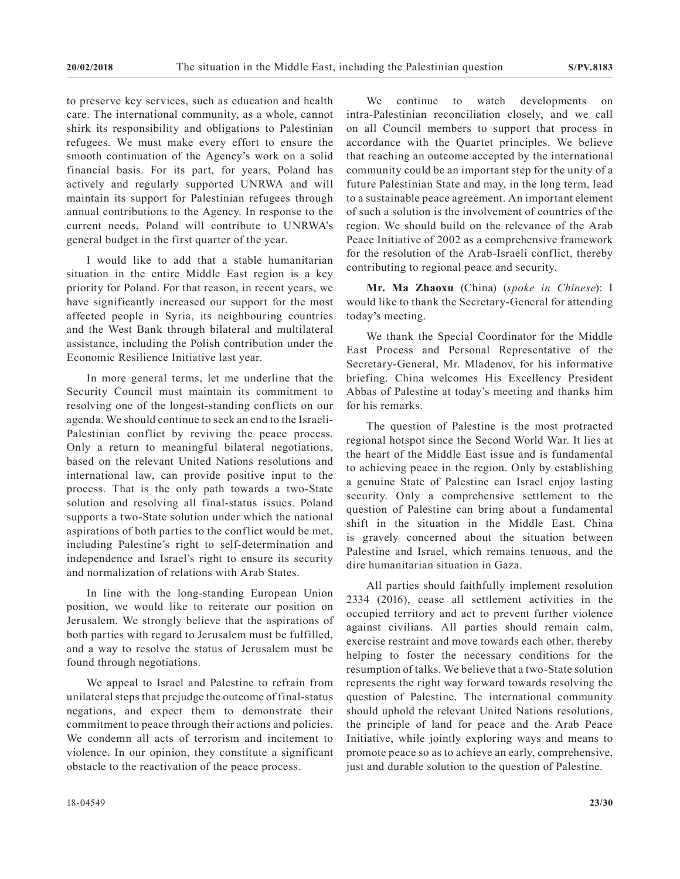to preserve key services, such as education and health care. The international community, as a whole, cannot shirk its responsibility and obligations to Palestinian refugees. We must make every effort to ensure the smooth continuation of the Agency's work on a solid financial basis. For its part, for years, Poland has actively and regularly supported UNRWA and will maintain its support for Palestinian refugees through annual contributions to the Agency. In response to the current needs, Poland will contribute to UNRWA's general budget in the first quarter of the year.

I would like to add that a stable humanitarian situation in the entire Middle East region is a key priority for Poland. For that reason, in recent years, we have significantly increased our support for the most affected people in Syria, its neighbouring countries and the West Bank through bilateral and multilateral assistance, including the Polish contribution under the Economic Resilience Initiative last year.

In more general terms, let me underline that the Security Council must maintain its commitment to resolving one of the longest-standing conflicts on our agenda. We should continue to seek an end to the Israeli-Palestinian conflict by reviving the peace process. Only a return to meaningful bilateral negotiations, based on the relevant United Nations resolutions and international law, can provide positive input to the process. That is the only path towards a two-State solution and resolving all final-status issues. Poland supports a two-State solution under which the national aspirations of both parties to the conflict would be met, including Palestine's right to self-determination and independence and Israel's right to ensure its security and normalization of relations with Arab States.

In line with the long-standing European Union position, we would like to reiterate our position on Jerusalem. We strongly believe that the aspirations of both parties with regard to Jerusalem must be fulfilled, and a way to resolve the status of Jerusalem must be found through negotiations.

We appeal to Israel and Palestine to refrain from unilateral steps that prejudge the outcome of final-status negations, and expect them to demonstrate their commitment to peace through their actions and policies. We condemn all acts of terrorism and incitement to violence. In our opinion, they constitute a significant obstacle to the reactivation of the peace process.

We continue to watch developments on intra-Palestinian reconciliation closely, and we call on all Council members to support that process in accordance with the Quartet principles. We believe that reaching an outcome accepted by the international community could be an important step for the unity of a future Palestinian State and may, in the long term, lead to a sustainable peace agreement. An important element of such a solution is the involvement of countries of the region. We should build on the relevance of the Arab Peace Initiative of 2002 as a comprehensive framework for the resolution of the Arab-Israeli conflict, thereby contributing to regional peace and security.

**Mr. Ma Zhaoxu** (China) (*spoke in Chinese*): I would like to thank the Secretary-General for attending today's meeting.

We thank the Special Coordinator for the Middle East Process and Personal Representative of the Secretary-General, Mr. Mladenov, for his informative briefing. China welcomes His Excellency President Abbas of Palestine at today's meeting and thanks him for his remarks.

The question of Palestine is the most protracted regional hotspot since the Second World War. It lies at the heart of the Middle East issue and is fundamental to achieving peace in the region. Only by establishing a genuine State of Palestine can Israel enjoy lasting security. Only a comprehensive settlement to the question of Palestine can bring about a fundamental shift in the situation in the Middle East. China is gravely concerned about the situation between Palestine and Israel, which remains tenuous, and the dire humanitarian situation in Gaza.

All parties should faithfully implement resolution 2334 (2016), cease all settlement activities in the occupied territory and act to prevent further violence against civilians. All parties should remain calm, exercise restraint and move towards each other, thereby helping to foster the necessary conditions for the resumption of talks. We believe that a two-State solution represents the right way forward towards resolving the question of Palestine. The international community should uphold the relevant United Nations resolutions, the principle of land for peace and the Arab Peace Initiative, while jointly exploring ways and means to promote peace so as to achieve an early, comprehensive, just and durable solution to the question of Palestine.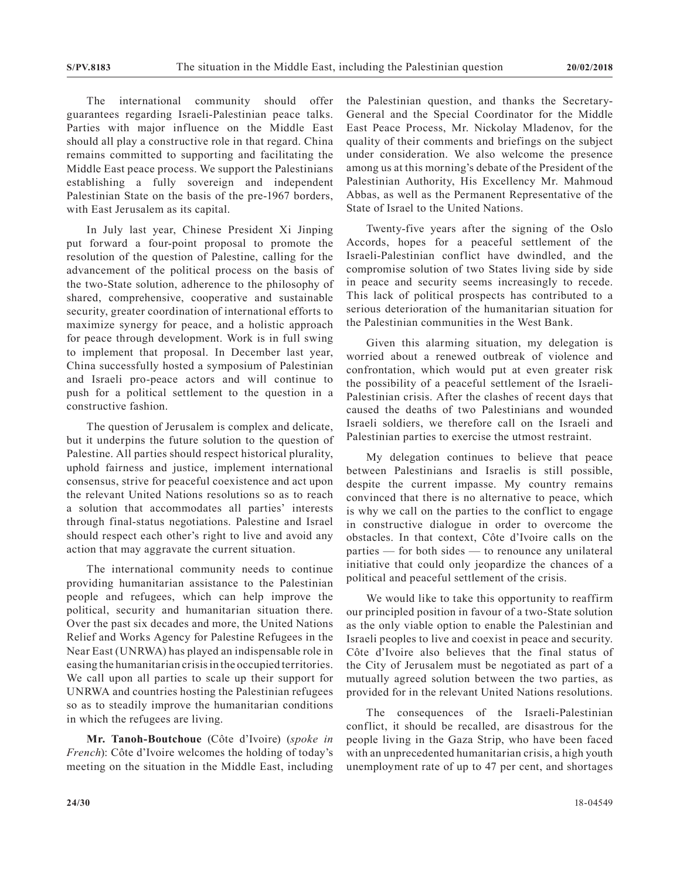The international community should offer guarantees regarding Israeli-Palestinian peace talks. Parties with major influence on the Middle East should all play a constructive role in that regard. China remains committed to supporting and facilitating the Middle East peace process. We support the Palestinians establishing a fully sovereign and independent Palestinian State on the basis of the pre-1967 borders, with East Jerusalem as its capital.

In July last year, Chinese President Xi Jinping put forward a four-point proposal to promote the resolution of the question of Palestine, calling for the advancement of the political process on the basis of the two-State solution, adherence to the philosophy of shared, comprehensive, cooperative and sustainable security, greater coordination of international efforts to maximize synergy for peace, and a holistic approach for peace through development. Work is in full swing to implement that proposal. In December last year, China successfully hosted a symposium of Palestinian and Israeli pro-peace actors and will continue to push for a political settlement to the question in a constructive fashion.

The question of Jerusalem is complex and delicate, but it underpins the future solution to the question of Palestine. All parties should respect historical plurality, uphold fairness and justice, implement international consensus, strive for peaceful coexistence and act upon the relevant United Nations resolutions so as to reach a solution that accommodates all parties' interests through final-status negotiations. Palestine and Israel should respect each other's right to live and avoid any action that may aggravate the current situation.

The international community needs to continue providing humanitarian assistance to the Palestinian people and refugees, which can help improve the political, security and humanitarian situation there. Over the past six decades and more, the United Nations Relief and Works Agency for Palestine Refugees in the Near East (UNRWA) has played an indispensable role in easing the humanitarian crisis in the occupied territories. We call upon all parties to scale up their support for UNRWA and countries hosting the Palestinian refugees so as to steadily improve the humanitarian conditions in which the refugees are living.

**Mr. Tanoh-Boutchoue** (Côte d'Ivoire) (*spoke in French*): Côte d'Ivoire welcomes the holding of today's meeting on the situation in the Middle East, including the Palestinian question, and thanks the Secretary-General and the Special Coordinator for the Middle East Peace Process, Mr. Nickolay Mladenov, for the quality of their comments and briefings on the subject under consideration. We also welcome the presence among us at this morning's debate of the President of the Palestinian Authority, His Excellency Mr. Mahmoud Abbas, as well as the Permanent Representative of the State of Israel to the United Nations.

Twenty-five years after the signing of the Oslo Accords, hopes for a peaceful settlement of the Israeli-Palestinian conflict have dwindled, and the compromise solution of two States living side by side in peace and security seems increasingly to recede. This lack of political prospects has contributed to a serious deterioration of the humanitarian situation for the Palestinian communities in the West Bank.

Given this alarming situation, my delegation is worried about a renewed outbreak of violence and confrontation, which would put at even greater risk the possibility of a peaceful settlement of the Israeli-Palestinian crisis. After the clashes of recent days that caused the deaths of two Palestinians and wounded Israeli soldiers, we therefore call on the Israeli and Palestinian parties to exercise the utmost restraint.

My delegation continues to believe that peace between Palestinians and Israelis is still possible, despite the current impasse. My country remains convinced that there is no alternative to peace, which is why we call on the parties to the conflict to engage in constructive dialogue in order to overcome the obstacles. In that context, Côte d'Ivoire calls on the parties — for both sides — to renounce any unilateral initiative that could only jeopardize the chances of a political and peaceful settlement of the crisis.

We would like to take this opportunity to reaffirm our principled position in favour of a two-State solution as the only viable option to enable the Palestinian and Israeli peoples to live and coexist in peace and security. Côte d'Ivoire also believes that the final status of the City of Jerusalem must be negotiated as part of a mutually agreed solution between the two parties, as provided for in the relevant United Nations resolutions.

The consequences of the Israeli-Palestinian conflict, it should be recalled, are disastrous for the people living in the Gaza Strip, who have been faced with an unprecedented humanitarian crisis, a high youth unemployment rate of up to 47 per cent, and shortages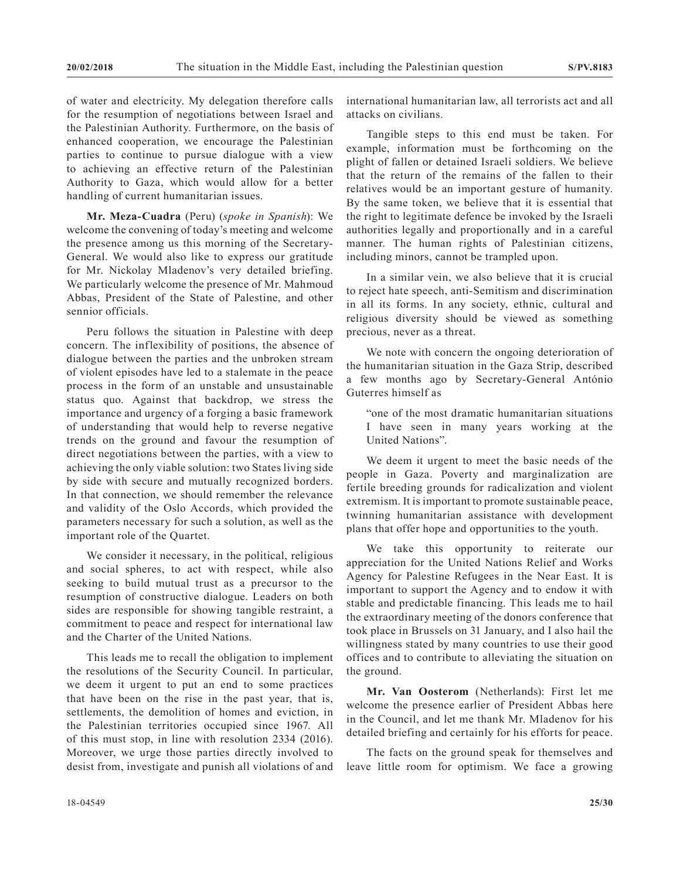of water and electricity. My delegation therefore calls for the resumption of negotiations between Israel and the Palestinian Authority. Furthermore, on the basis of enhanced cooperation, we encourage the Palestinian parties to continue to pursue dialogue with a view to achieving an effective return of the Palestinian Authority to Gaza, which would allow for a better handling of current humanitarian issues.

**Mr. Meza-Cuadra** (Peru) (*spoke in Spanish*): We welcome the convening of today's meeting and welcome the presence among us this morning of the Secretary-General. We would also like to express our gratitude for Mr. Nickolay Mladenov's very detailed briefing. We particularly welcome the presence of Mr. Mahmoud Abbas, President of the State of Palestine, and other sennior officials.

Peru follows the situation in Palestine with deep concern. The inflexibility of positions, the absence of dialogue between the parties and the unbroken stream of violent episodes have led to a stalemate in the peace process in the form of an unstable and unsustainable status quo. Against that backdrop, we stress the importance and urgency of a forging a basic framework of understanding that would help to reverse negative trends on the ground and favour the resumption of direct negotiations between the parties, with a view to achieving the only viable solution: two States living side by side with secure and mutually recognized borders. In that connection, we should remember the relevance and validity of the Oslo Accords, which provided the parameters necessary for such a solution, as well as the important role of the Quartet.

We consider it necessary, in the political, religious and social spheres, to act with respect, while also seeking to build mutual trust as a precursor to the resumption of constructive dialogue. Leaders on both sides are responsible for showing tangible restraint, a commitment to peace and respect for international law and the Charter of the United Nations.

This leads me to recall the obligation to implement the resolutions of the Security Council. In particular, we deem it urgent to put an end to some practices that have been on the rise in the past year, that is, settlements, the demolition of homes and eviction, in the Palestinian territories occupied since 1967. All of this must stop, in line with resolution 2334 (2016). Moreover, we urge those parties directly involved to desist from, investigate and punish all violations of and international humanitarian law, all terrorists act and all attacks on civilians.

Tangible steps to this end must be taken. For example, information must be forthcoming on the plight of fallen or detained Israeli soldiers. We believe that the return of the remains of the fallen to their relatives would be an important gesture of humanity. By the same token, we believe that it is essential that the right to legitimate defence be invoked by the Israeli authorities legally and proportionally and in a careful manner. The human rights of Palestinian citizens, including minors, cannot be trampled upon.

In a similar vein, we also believe that it is crucial to reject hate speech, anti-Semitism and discrimination in all its forms. In any society, ethnic, cultural and religious diversity should be viewed as something precious, never as a threat.

We note with concern the ongoing deterioration of the humanitarian situation in the Gaza Strip, described a few months ago by Secretary-General António Guterres himself as

"one of the most dramatic humanitarian situations I have seen in many years working at the United Nations".

We deem it urgent to meet the basic needs of the people in Gaza. Poverty and marginalization are fertile breeding grounds for radicalization and violent extremism. It is important to promote sustainable peace, twinning humanitarian assistance with development plans that offer hope and opportunities to the youth.

We take this opportunity to reiterate our appreciation for the United Nations Relief and Works Agency for Palestine Refugees in the Near East. It is important to support the Agency and to endow it with stable and predictable financing. This leads me to hail the extraordinary meeting of the donors conference that took place in Brussels on 31 January, and I also hail the willingness stated by many countries to use their good offices and to contribute to alleviating the situation on the ground.

**Mr. Van Oosterom** (Netherlands): First let me welcome the presence earlier of President Abbas here in the Council, and let me thank Mr. Mladenov for his detailed briefing and certainly for his efforts for peace.

The facts on the ground speak for themselves and leave little room for optimism. We face a growing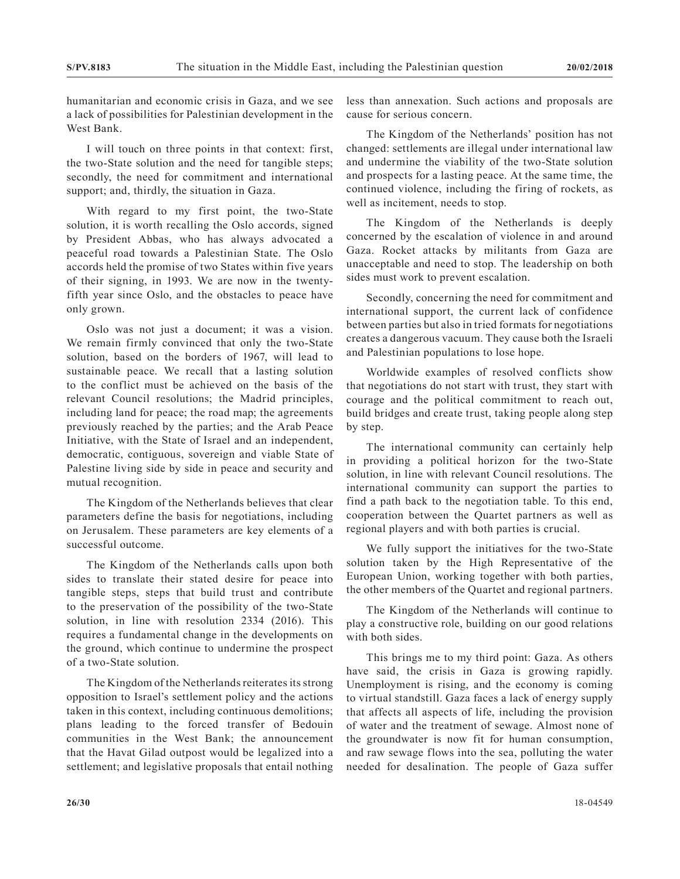humanitarian and economic crisis in Gaza, and we see a lack of possibilities for Palestinian development in the West Bank.

I will touch on three points in that context: first, the two-State solution and the need for tangible steps; secondly, the need for commitment and international support; and, thirdly, the situation in Gaza.

With regard to my first point, the two-State solution, it is worth recalling the Oslo accords, signed by President Abbas, who has always advocated a peaceful road towards a Palestinian State. The Oslo accords held the promise of two States within five years of their signing, in 1993. We are now in the twentyfifth year since Oslo, and the obstacles to peace have only grown.

Oslo was not just a document; it was a vision. We remain firmly convinced that only the two-State solution, based on the borders of 1967, will lead to sustainable peace. We recall that a lasting solution to the conflict must be achieved on the basis of the relevant Council resolutions; the Madrid principles, including land for peace; the road map; the agreements previously reached by the parties; and the Arab Peace Initiative, with the State of Israel and an independent, democratic, contiguous, sovereign and viable State of Palestine living side by side in peace and security and mutual recognition.

The Kingdom of the Netherlands believes that clear parameters define the basis for negotiations, including on Jerusalem. These parameters are key elements of a successful outcome.

The Kingdom of the Netherlands calls upon both sides to translate their stated desire for peace into tangible steps, steps that build trust and contribute to the preservation of the possibility of the two-State solution, in line with resolution 2334 (2016). This requires a fundamental change in the developments on the ground, which continue to undermine the prospect of a two-State solution.

The Kingdom of the Netherlands reiterates its strong opposition to Israel's settlement policy and the actions taken in this context, including continuous demolitions; plans leading to the forced transfer of Bedouin communities in the West Bank; the announcement that the Havat Gilad outpost would be legalized into a settlement; and legislative proposals that entail nothing

less than annexation. Such actions and proposals are cause for serious concern.

The Kingdom of the Netherlands' position has not changed: settlements are illegal under international law and undermine the viability of the two-State solution and prospects for a lasting peace. At the same time, the continued violence, including the firing of rockets, as well as incitement, needs to stop.

The Kingdom of the Netherlands is deeply concerned by the escalation of violence in and around Gaza. Rocket attacks by militants from Gaza are unacceptable and need to stop. The leadership on both sides must work to prevent escalation.

Secondly, concerning the need for commitment and international support, the current lack of confidence between parties but also in tried formats for negotiations creates a dangerous vacuum. They cause both the Israeli and Palestinian populations to lose hope.

Worldwide examples of resolved conflicts show that negotiations do not start with trust, they start with courage and the political commitment to reach out, build bridges and create trust, taking people along step by step.

The international community can certainly help in providing a political horizon for the two-State solution, in line with relevant Council resolutions. The international community can support the parties to find a path back to the negotiation table. To this end, cooperation between the Quartet partners as well as regional players and with both parties is crucial.

We fully support the initiatives for the two-State solution taken by the High Representative of the European Union, working together with both parties, the other members of the Quartet and regional partners.

The Kingdom of the Netherlands will continue to play a constructive role, building on our good relations with both sides.

This brings me to my third point: Gaza. As others have said, the crisis in Gaza is growing rapidly. Unemployment is rising, and the economy is coming to virtual standstill. Gaza faces a lack of energy supply that affects all aspects of life, including the provision of water and the treatment of sewage. Almost none of the groundwater is now fit for human consumption, and raw sewage flows into the sea, polluting the water needed for desalination. The people of Gaza suffer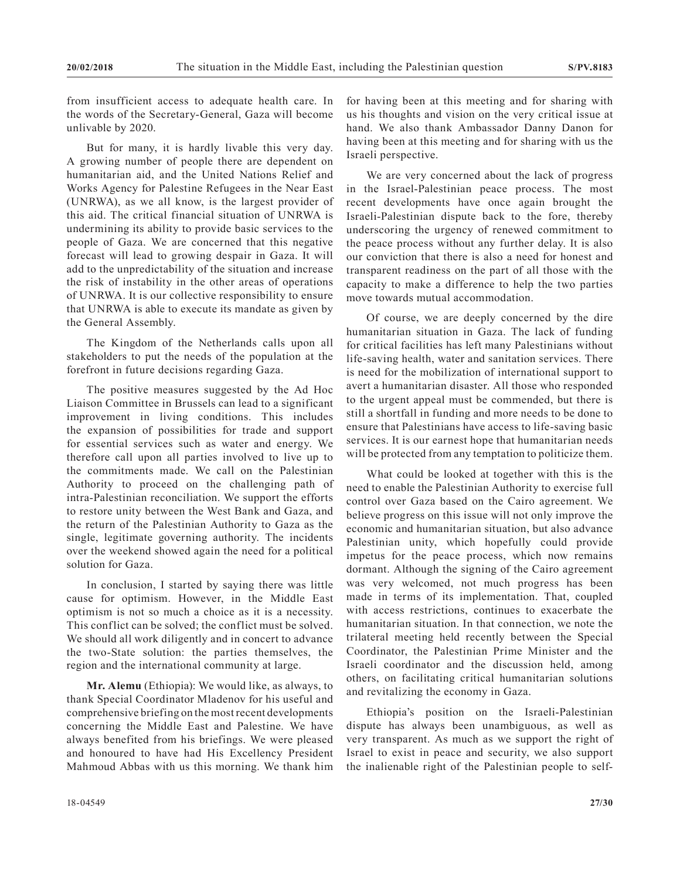from insufficient access to adequate health care. In the words of the Secretary-General, Gaza will become unlivable by 2020.

But for many, it is hardly livable this very day. A growing number of people there are dependent on humanitarian aid, and the United Nations Relief and Works Agency for Palestine Refugees in the Near East (UNRWA), as we all know, is the largest provider of this aid. The critical financial situation of UNRWA is undermining its ability to provide basic services to the people of Gaza. We are concerned that this negative forecast will lead to growing despair in Gaza. It will add to the unpredictability of the situation and increase the risk of instability in the other areas of operations of UNRWA. It is our collective responsibility to ensure that UNRWA is able to execute its mandate as given by the General Assembly.

The Kingdom of the Netherlands calls upon all stakeholders to put the needs of the population at the forefront in future decisions regarding Gaza.

The positive measures suggested by the Ad Hoc Liaison Committee in Brussels can lead to a significant improvement in living conditions. This includes the expansion of possibilities for trade and support for essential services such as water and energy. We therefore call upon all parties involved to live up to the commitments made. We call on the Palestinian Authority to proceed on the challenging path of intra-Palestinian reconciliation. We support the efforts to restore unity between the West Bank and Gaza, and the return of the Palestinian Authority to Gaza as the single, legitimate governing authority. The incidents over the weekend showed again the need for a political solution for Gaza.

In conclusion, I started by saying there was little cause for optimism. However, in the Middle East optimism is not so much a choice as it is a necessity. This conflict can be solved; the conflict must be solved. We should all work diligently and in concert to advance the two-State solution: the parties themselves, the region and the international community at large.

**Mr. Alemu** (Ethiopia): We would like, as always, to thank Special Coordinator Mladenov for his useful and comprehensive briefing on the most recent developments concerning the Middle East and Palestine. We have always benefited from his briefings. We were pleased and honoured to have had His Excellency President Mahmoud Abbas with us this morning. We thank him for having been at this meeting and for sharing with us his thoughts and vision on the very critical issue at hand. We also thank Ambassador Danny Danon for having been at this meeting and for sharing with us the Israeli perspective.

We are very concerned about the lack of progress in the Israel-Palestinian peace process. The most recent developments have once again brought the Israeli-Palestinian dispute back to the fore, thereby underscoring the urgency of renewed commitment to the peace process without any further delay. It is also our conviction that there is also a need for honest and transparent readiness on the part of all those with the capacity to make a difference to help the two parties move towards mutual accommodation.

Of course, we are deeply concerned by the dire humanitarian situation in Gaza. The lack of funding for critical facilities has left many Palestinians without life-saving health, water and sanitation services. There is need for the mobilization of international support to avert a humanitarian disaster. All those who responded to the urgent appeal must be commended, but there is still a shortfall in funding and more needs to be done to ensure that Palestinians have access to life-saving basic services. It is our earnest hope that humanitarian needs will be protected from any temptation to politicize them.

What could be looked at together with this is the need to enable the Palestinian Authority to exercise full control over Gaza based on the Cairo agreement. We believe progress on this issue will not only improve the economic and humanitarian situation, but also advance Palestinian unity, which hopefully could provide impetus for the peace process, which now remains dormant. Although the signing of the Cairo agreement was very welcomed, not much progress has been made in terms of its implementation. That, coupled with access restrictions, continues to exacerbate the humanitarian situation. In that connection, we note the trilateral meeting held recently between the Special Coordinator, the Palestinian Prime Minister and the Israeli coordinator and the discussion held, among others, on facilitating critical humanitarian solutions and revitalizing the economy in Gaza.

Ethiopia's position on the Israeli-Palestinian dispute has always been unambiguous, as well as very transparent. As much as we support the right of Israel to exist in peace and security, we also support the inalienable right of the Palestinian people to self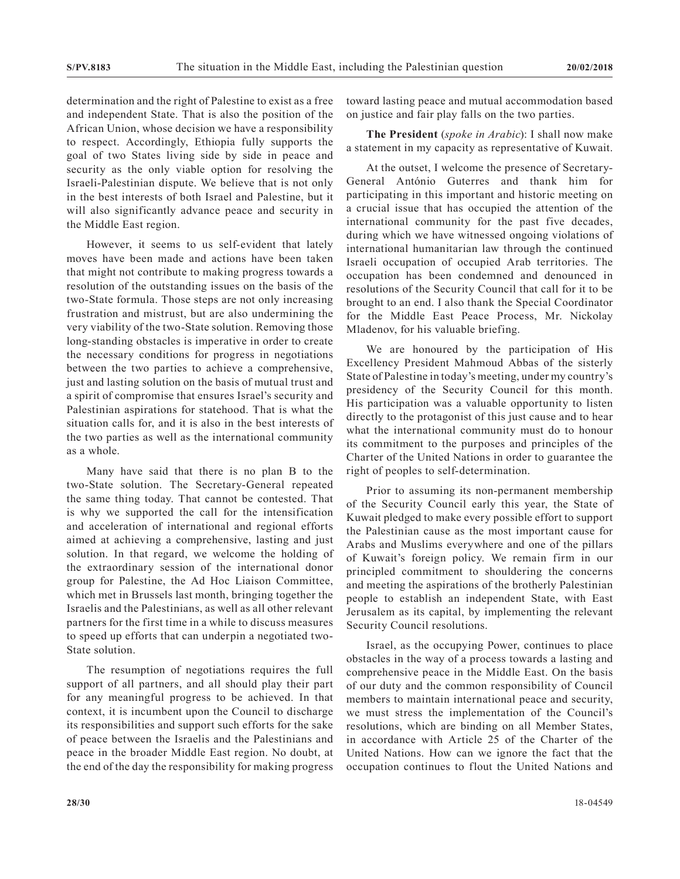determination and the right of Palestine to exist as a free and independent State. That is also the position of the African Union, whose decision we have a responsibility to respect. Accordingly, Ethiopia fully supports the goal of two States living side by side in peace and security as the only viable option for resolving the Israeli-Palestinian dispute. We believe that is not only in the best interests of both Israel and Palestine, but it will also significantly advance peace and security in the Middle East region.

However, it seems to us self-evident that lately moves have been made and actions have been taken that might not contribute to making progress towards a resolution of the outstanding issues on the basis of the two-State formula. Those steps are not only increasing frustration and mistrust, but are also undermining the very viability of the two-State solution. Removing those long-standing obstacles is imperative in order to create the necessary conditions for progress in negotiations between the two parties to achieve a comprehensive, just and lasting solution on the basis of mutual trust and a spirit of compromise that ensures Israel's security and Palestinian aspirations for statehood. That is what the situation calls for, and it is also in the best interests of the two parties as well as the international community as a whole.

Many have said that there is no plan B to the two-State solution. The Secretary-General repeated the same thing today. That cannot be contested. That is why we supported the call for the intensification and acceleration of international and regional efforts aimed at achieving a comprehensive, lasting and just solution. In that regard, we welcome the holding of the extraordinary session of the international donor group for Palestine, the Ad Hoc Liaison Committee, which met in Brussels last month, bringing together the Israelis and the Palestinians, as well as all other relevant partners for the first time in a while to discuss measures to speed up efforts that can underpin a negotiated two-State solution.

The resumption of negotiations requires the full support of all partners, and all should play their part for any meaningful progress to be achieved. In that context, it is incumbent upon the Council to discharge its responsibilities and support such efforts for the sake of peace between the Israelis and the Palestinians and peace in the broader Middle East region. No doubt, at the end of the day the responsibility for making progress

toward lasting peace and mutual accommodation based on justice and fair play falls on the two parties.

**The President** (*spoke in Arabic*): I shall now make a statement in my capacity as representative of Kuwait.

At the outset, I welcome the presence of Secretary-General António Guterres and thank him for participating in this important and historic meeting on a crucial issue that has occupied the attention of the international community for the past five decades, during which we have witnessed ongoing violations of international humanitarian law through the continued Israeli occupation of occupied Arab territories. The occupation has been condemned and denounced in resolutions of the Security Council that call for it to be brought to an end. I also thank the Special Coordinator for the Middle East Peace Process, Mr. Nickolay Mladenov, for his valuable briefing.

We are honoured by the participation of His Excellency President Mahmoud Abbas of the sisterly State of Palestine in today's meeting, under my country's presidency of the Security Council for this month. His participation was a valuable opportunity to listen directly to the protagonist of this just cause and to hear what the international community must do to honour its commitment to the purposes and principles of the Charter of the United Nations in order to guarantee the right of peoples to self-determination.

Prior to assuming its non-permanent membership of the Security Council early this year, the State of Kuwait pledged to make every possible effort to support the Palestinian cause as the most important cause for Arabs and Muslims everywhere and one of the pillars of Kuwait's foreign policy. We remain firm in our principled commitment to shouldering the concerns and meeting the aspirations of the brotherly Palestinian people to establish an independent State, with East Jerusalem as its capital, by implementing the relevant Security Council resolutions.

Israel, as the occupying Power, continues to place obstacles in the way of a process towards a lasting and comprehensive peace in the Middle East. On the basis of our duty and the common responsibility of Council members to maintain international peace and security, we must stress the implementation of the Council's resolutions, which are binding on all Member States, in accordance with Article 25 of the Charter of the United Nations. How can we ignore the fact that the occupation continues to flout the United Nations and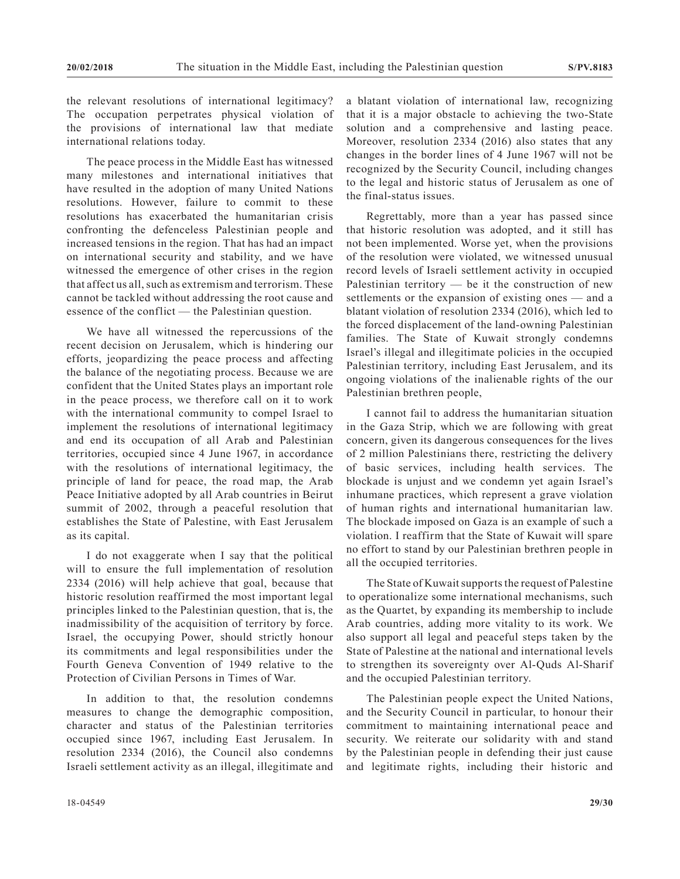the relevant resolutions of international legitimacy? The occupation perpetrates physical violation of the provisions of international law that mediate international relations today.

The peace process in the Middle East has witnessed many milestones and international initiatives that have resulted in the adoption of many United Nations resolutions. However, failure to commit to these resolutions has exacerbated the humanitarian crisis confronting the defenceless Palestinian people and increased tensions in the region. That has had an impact on international security and stability, and we have witnessed the emergence of other crises in the region that affect us all, such as extremism and terrorism. These cannot be tackled without addressing the root cause and essence of the conflict — the Palestinian question.

We have all witnessed the repercussions of the recent decision on Jerusalem, which is hindering our efforts, jeopardizing the peace process and affecting the balance of the negotiating process. Because we are confident that the United States plays an important role in the peace process, we therefore call on it to work with the international community to compel Israel to implement the resolutions of international legitimacy and end its occupation of all Arab and Palestinian territories, occupied since 4 June 1967, in accordance with the resolutions of international legitimacy, the principle of land for peace, the road map, the Arab Peace Initiative adopted by all Arab countries in Beirut summit of 2002, through a peaceful resolution that establishes the State of Palestine, with East Jerusalem as its capital.

I do not exaggerate when I say that the political will to ensure the full implementation of resolution 2334 (2016) will help achieve that goal, because that historic resolution reaffirmed the most important legal principles linked to the Palestinian question, that is, the inadmissibility of the acquisition of territory by force. Israel, the occupying Power, should strictly honour its commitments and legal responsibilities under the Fourth Geneva Convention of 1949 relative to the Protection of Civilian Persons in Times of War.

In addition to that, the resolution condemns measures to change the demographic composition, character and status of the Palestinian territories occupied since 1967, including East Jerusalem. In resolution 2334 (2016), the Council also condemns Israeli settlement activity as an illegal, illegitimate and

a blatant violation of international law, recognizing that it is a major obstacle to achieving the two-State solution and a comprehensive and lasting peace. Moreover, resolution 2334 (2016) also states that any changes in the border lines of 4 June 1967 will not be recognized by the Security Council, including changes to the legal and historic status of Jerusalem as one of the final-status issues.

Regrettably, more than a year has passed since that historic resolution was adopted, and it still has not been implemented. Worse yet, when the provisions of the resolution were violated, we witnessed unusual record levels of Israeli settlement activity in occupied Palestinian territory  $-$  be it the construction of new settlements or the expansion of existing ones — and a blatant violation of resolution 2334 (2016), which led to the forced displacement of the land-owning Palestinian families. The State of Kuwait strongly condemns Israel's illegal and illegitimate policies in the occupied Palestinian territory, including East Jerusalem, and its ongoing violations of the inalienable rights of the our Palestinian brethren people,

I cannot fail to address the humanitarian situation in the Gaza Strip, which we are following with great concern, given its dangerous consequences for the lives of 2 million Palestinians there, restricting the delivery of basic services, including health services. The blockade is unjust and we condemn yet again Israel's inhumane practices, which represent a grave violation of human rights and international humanitarian law. The blockade imposed on Gaza is an example of such a violation. I reaffirm that the State of Kuwait will spare no effort to stand by our Palestinian brethren people in all the occupied territories.

The State of Kuwait supports the request of Palestine to operationalize some international mechanisms, such as the Quartet, by expanding its membership to include Arab countries, adding more vitality to its work. We also support all legal and peaceful steps taken by the State of Palestine at the national and international levels to strengthen its sovereignty over Al-Quds Al-Sharif and the occupied Palestinian territory.

The Palestinian people expect the United Nations, and the Security Council in particular, to honour their commitment to maintaining international peace and security. We reiterate our solidarity with and stand by the Palestinian people in defending their just cause and legitimate rights, including their historic and